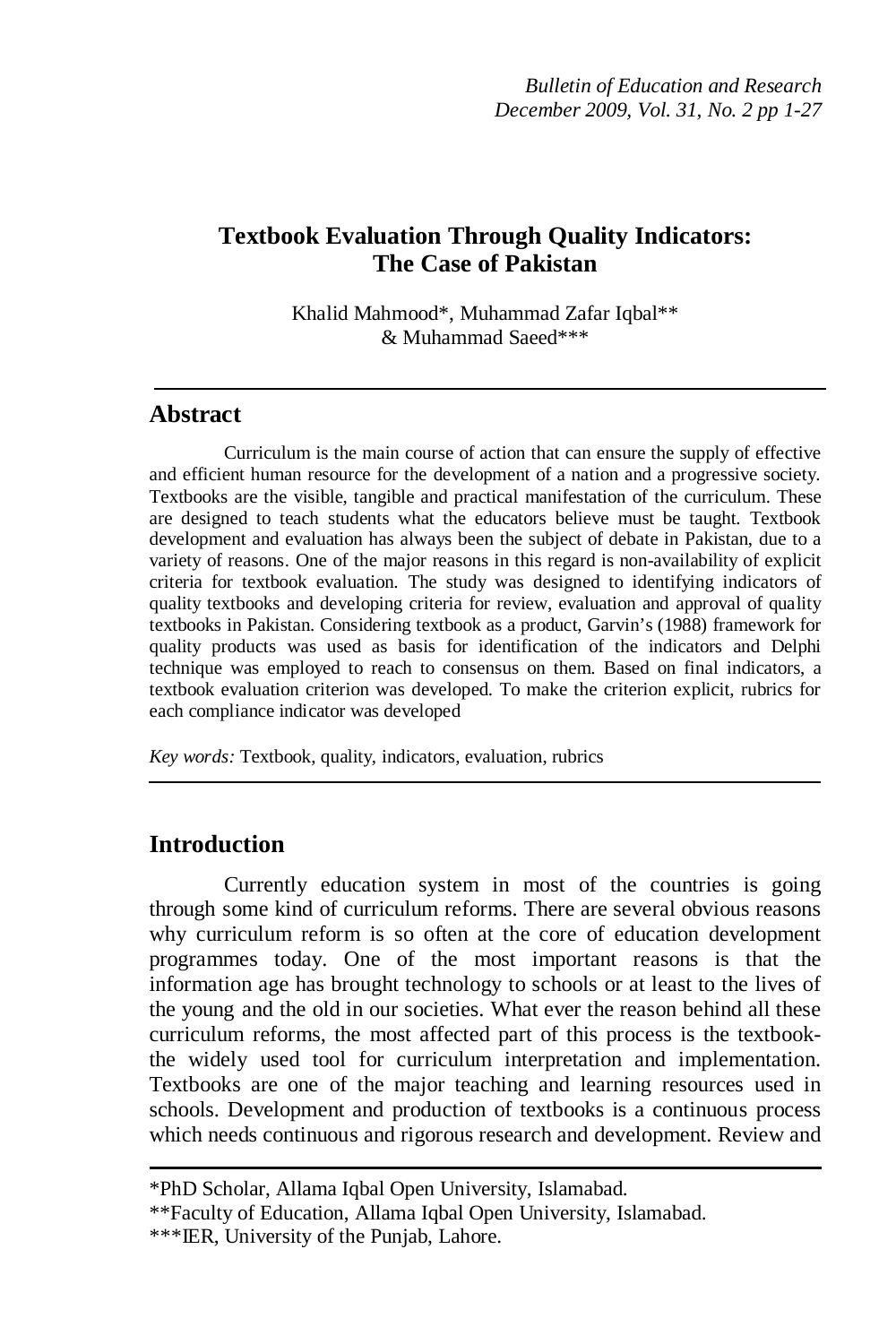# **Textbook Evaluation Through Quality Indicators: The Case of Pakistan**

Khalid Mahmood\*, Muhammad Zafar Iqbal\*\* & Muhammad Saeed\*\*\*

## **Abstract**

Curriculum is the main course of action that can ensure the supply of effective and efficient human resource for the development of a nation and a progressive society. Textbooks are the visible, tangible and practical manifestation of the curriculum. These are designed to teach students what the educators believe must be taught. Textbook development and evaluation has always been the subject of debate in Pakistan, due to a variety of reasons. One of the major reasons in this regard is non-availability of explicit criteria for textbook evaluation. The study was designed to identifying indicators of quality textbooks and developing criteria for review, evaluation and approval of quality textbooks in Pakistan. Considering textbook as a product, Garvin's (1988) framework for quality products was used as basis for identification of the indicators and Delphi technique was employed to reach to consensus on them. Based on final indicators, a textbook evaluation criterion was developed. To make the criterion explicit, rubrics for each compliance indicator was developed

*Key words:* Textbook, quality, indicators, evaluation, rubrics

## **Introduction**

Currently education system in most of the countries is going through some kind of curriculum reforms. There are several obvious reasons why curriculum reform is so often at the core of education development programmes today. One of the most important reasons is that the information age has brought technology to schools or at least to the lives of the young and the old in our societies. What ever the reason behind all these curriculum reforms, the most affected part of this process is the textbookthe widely used tool for curriculum interpretation and implementation. Textbooks are one of the major teaching and learning resources used in schools. Development and production of textbooks is a continuous process which needs continuous and rigorous research and development. Review and

<sup>\*</sup>PhD Scholar, Allama Iqbal Open University, Islamabad.

<sup>\*\*</sup>Faculty of Education, Allama Iqbal Open University, Islamabad.

<sup>\*\*\*</sup>IER, University of the Punjab, Lahore.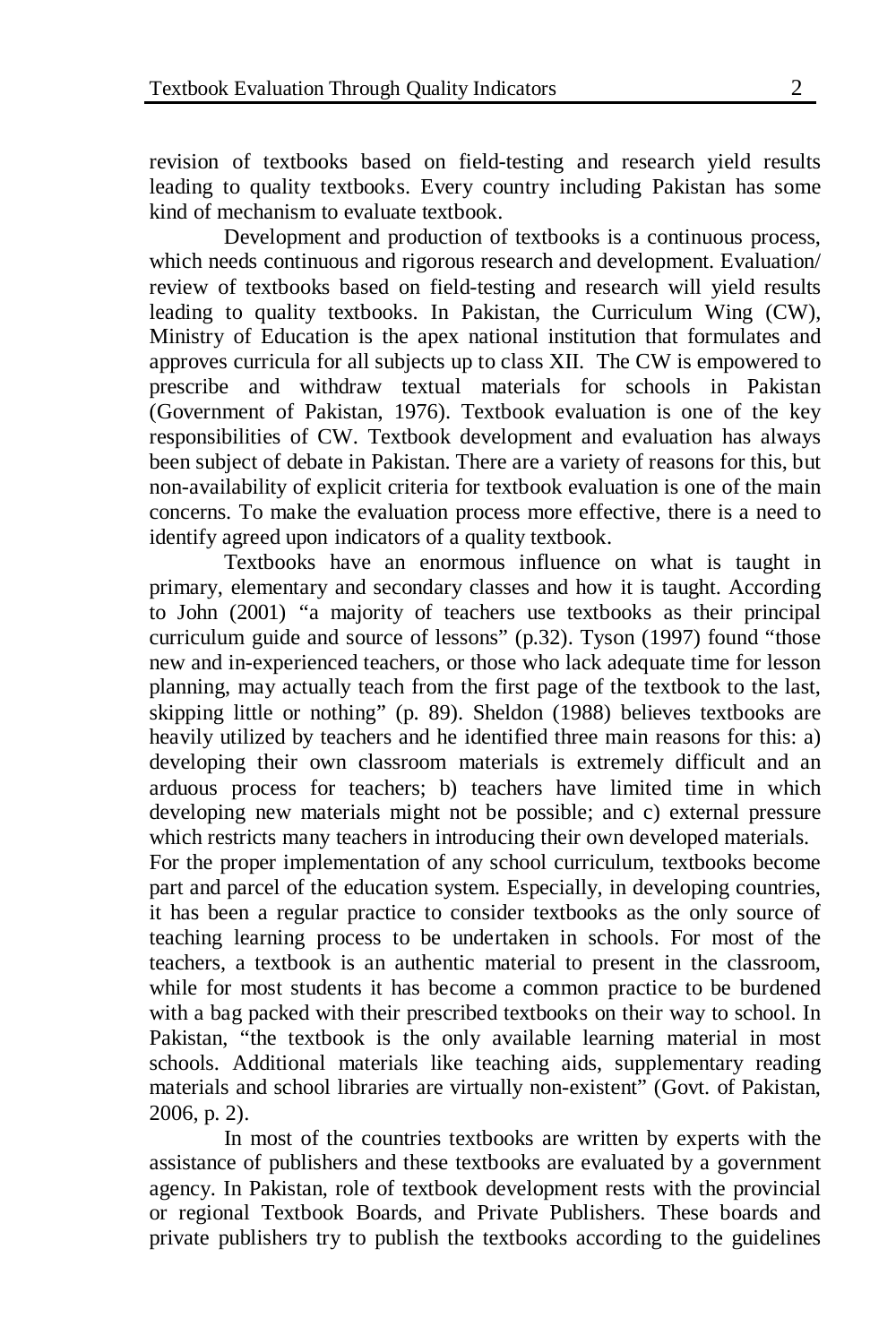revision of textbooks based on field-testing and research yield results leading to quality textbooks. Every country including Pakistan has some kind of mechanism to evaluate textbook.

Development and production of textbooks is a continuous process, which needs continuous and rigorous research and development. Evaluation/ review of textbooks based on field-testing and research will yield results leading to quality textbooks. In Pakistan, the Curriculum Wing (CW), Ministry of Education is the apex national institution that formulates and approves curricula for all subjects up to class XII. The CW is empowered to prescribe and withdraw textual materials for schools in Pakistan (Government of Pakistan, 1976). Textbook evaluation is one of the key responsibilities of CW. Textbook development and evaluation has always been subject of debate in Pakistan. There are a variety of reasons for this, but non-availability of explicit criteria for textbook evaluation is one of the main concerns. To make the evaluation process more effective, there is a need to identify agreed upon indicators of a quality textbook.

Textbooks have an enormous influence on what is taught in primary, elementary and secondary classes and how it is taught. According to John (2001) "a majority of teachers use textbooks as their principal curriculum guide and source of lessons" (p.32). Tyson (1997) found "those new and in-experienced teachers, or those who lack adequate time for lesson planning, may actually teach from the first page of the textbook to the last, skipping little or nothing" (p. 89). Sheldon (1988) believes textbooks are heavily utilized by teachers and he identified three main reasons for this: a) developing their own classroom materials is extremely difficult and an arduous process for teachers; b) teachers have limited time in which developing new materials might not be possible; and c) external pressure which restricts many teachers in introducing their own developed materials.

For the proper implementation of any school curriculum, textbooks become part and parcel of the education system. Especially, in developing countries, it has been a regular practice to consider textbooks as the only source of teaching learning process to be undertaken in schools. For most of the teachers, a textbook is an authentic material to present in the classroom, while for most students it has become a common practice to be burdened with a bag packed with their prescribed textbooks on their way to school. In Pakistan, "the textbook is the only available learning material in most schools. Additional materials like teaching aids, supplementary reading materials and school libraries are virtually non-existent" (Govt. of Pakistan, 2006, p. 2).

In most of the countries textbooks are written by experts with the assistance of publishers and these textbooks are evaluated by a government agency. In Pakistan, role of textbook development rests with the provincial or regional Textbook Boards, and Private Publishers. These boards and private publishers try to publish the textbooks according to the guidelines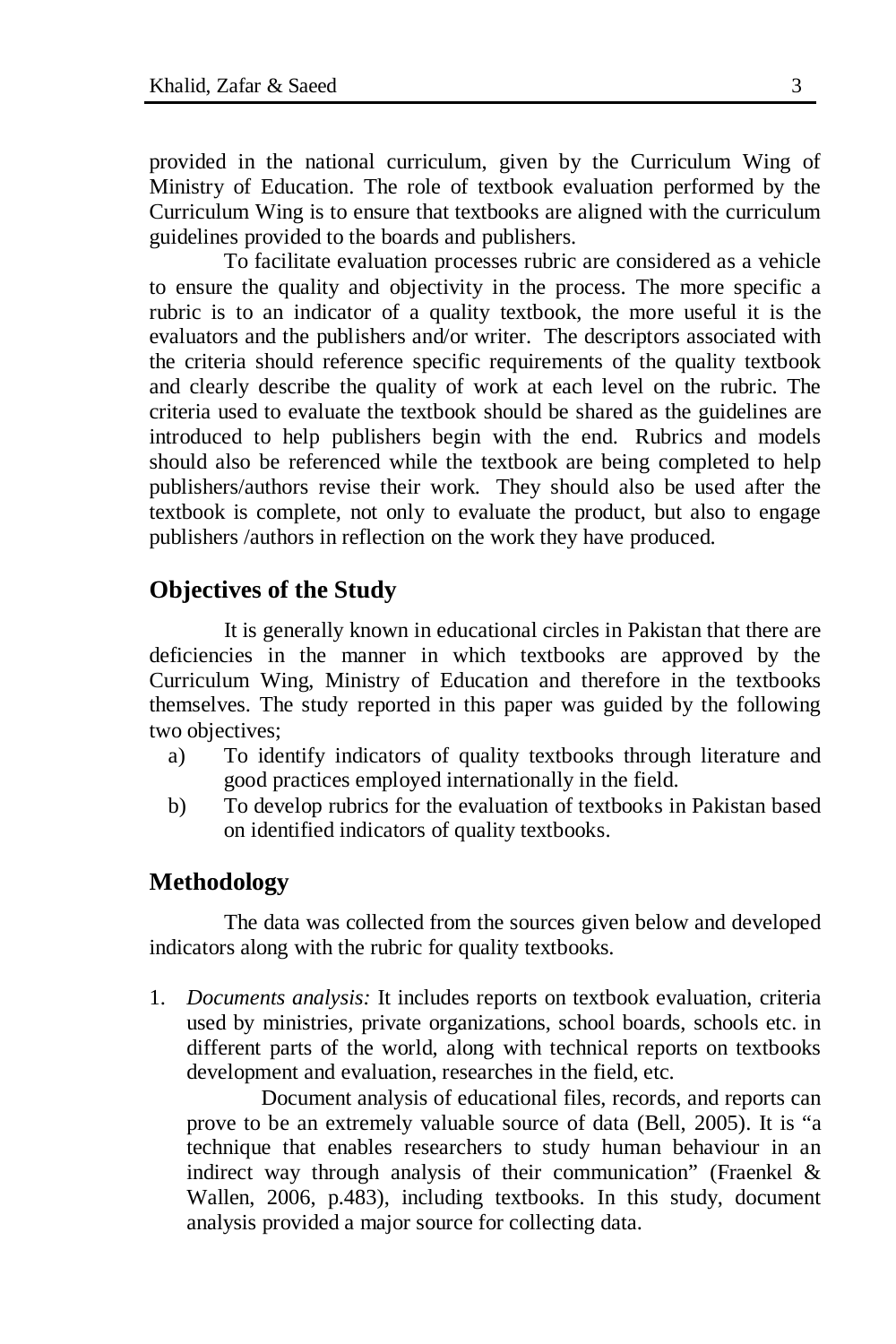provided in the national curriculum, given by the Curriculum Wing of Ministry of Education. The role of textbook evaluation performed by the Curriculum Wing is to ensure that textbooks are aligned with the curriculum guidelines provided to the boards and publishers.

To facilitate evaluation processes rubric are considered as a vehicle to ensure the quality and objectivity in the process. The more specific a rubric is to an indicator of a quality textbook, the more useful it is the evaluators and the publishers and/or writer. The descriptors associated with the criteria should reference specific requirements of the quality textbook and clearly describe the quality of work at each level on the rubric. The criteria used to evaluate the textbook should be shared as the guidelines are introduced to help publishers begin with the end. Rubrics and models should also be referenced while the textbook are being completed to help publishers/authors revise their work. They should also be used after the textbook is complete, not only to evaluate the product, but also to engage publishers /authors in reflection on the work they have produced.

### **Objectives of the Study**

It is generally known in educational circles in Pakistan that there are deficiencies in the manner in which textbooks are approved by the Curriculum Wing, Ministry of Education and therefore in the textbooks themselves. The study reported in this paper was guided by the following two objectives;

- a) To identify indicators of quality textbooks through literature and good practices employed internationally in the field.
- b) To develop rubrics for the evaluation of textbooks in Pakistan based on identified indicators of quality textbooks.

### **Methodology**

The data was collected from the sources given below and developed indicators along with the rubric for quality textbooks.

1. *Documents analysis:* It includes reports on textbook evaluation, criteria used by ministries, private organizations, school boards, schools etc. in different parts of the world, along with technical reports on textbooks development and evaluation, researches in the field, etc.

Document analysis of educational files, records, and reports can prove to be an extremely valuable source of data (Bell, 2005). It is "a technique that enables researchers to study human behaviour in an indirect way through analysis of their communication" (Fraenkel & Wallen, 2006, p.483), including textbooks. In this study, document analysis provided a major source for collecting data.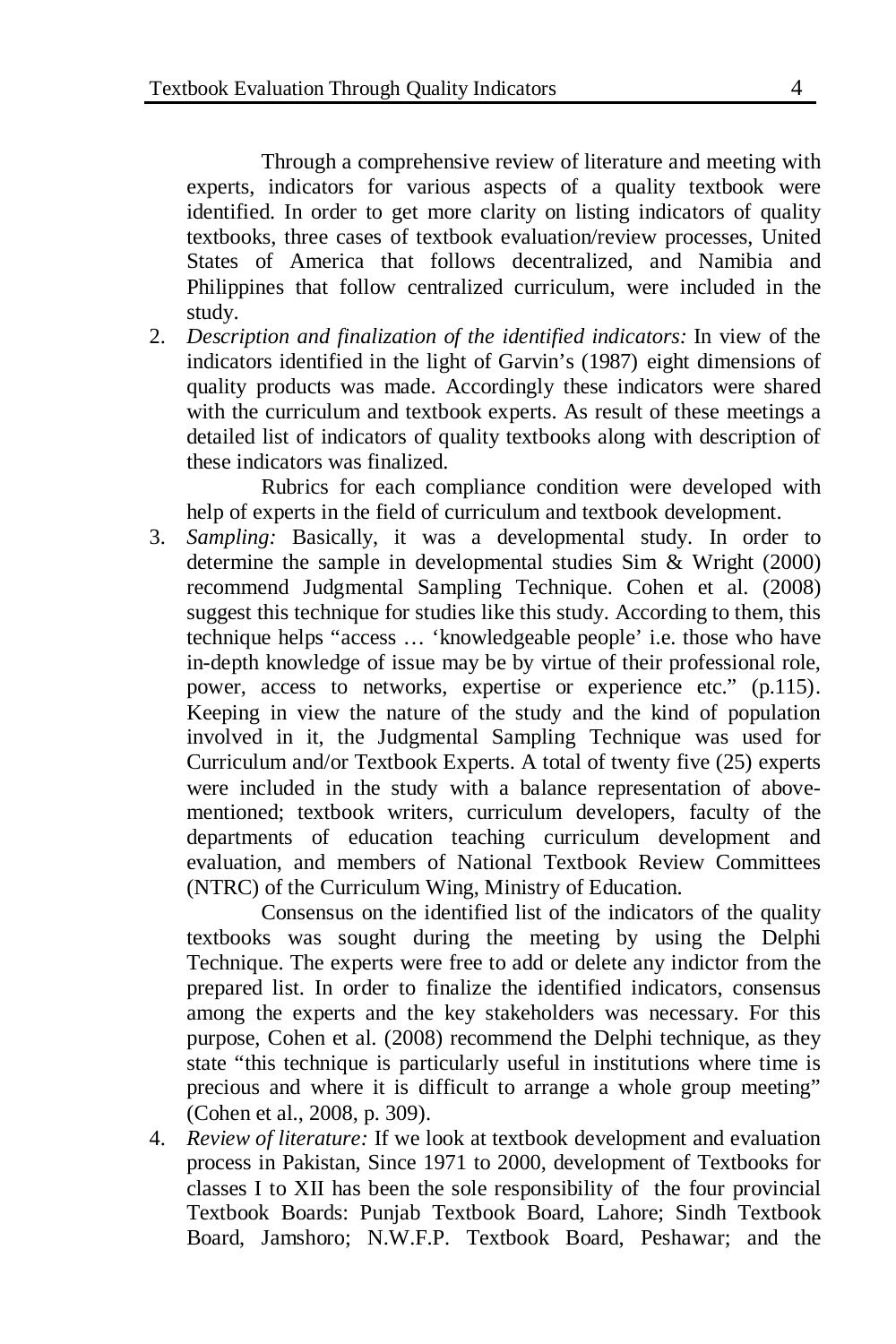Through a comprehensive review of literature and meeting with experts, indicators for various aspects of a quality textbook were identified. In order to get more clarity on listing indicators of quality textbooks, three cases of textbook evaluation/review processes, United States of America that follows decentralized, and Namibia and Philippines that follow centralized curriculum, were included in the study.

2. *Description and finalization of the identified indicators:* In view of the indicators identified in the light of Garvin's (1987) eight dimensions of quality products was made. Accordingly these indicators were shared with the curriculum and textbook experts. As result of these meetings a detailed list of indicators of quality textbooks along with description of these indicators was finalized.

Rubrics for each compliance condition were developed with help of experts in the field of curriculum and textbook development.

3. *Sampling:* Basically, it was a developmental study. In order to determine the sample in developmental studies Sim & Wright (2000) recommend Judgmental Sampling Technique. Cohen et al. (2008) suggest this technique for studies like this study. According to them, this technique helps "access … 'knowledgeable people' i.e. those who have in-depth knowledge of issue may be by virtue of their professional role, power, access to networks, expertise or experience etc." (p.115). Keeping in view the nature of the study and the kind of population involved in it, the Judgmental Sampling Technique was used for Curriculum and/or Textbook Experts. A total of twenty five (25) experts were included in the study with a balance representation of abovementioned; textbook writers, curriculum developers, faculty of the departments of education teaching curriculum development and evaluation, and members of National Textbook Review Committees (NTRC) of the Curriculum Wing, Ministry of Education.

Consensus on the identified list of the indicators of the quality textbooks was sought during the meeting by using the Delphi Technique. The experts were free to add or delete any indictor from the prepared list. In order to finalize the identified indicators, consensus among the experts and the key stakeholders was necessary. For this purpose, Cohen et al. (2008) recommend the Delphi technique, as they state "this technique is particularly useful in institutions where time is precious and where it is difficult to arrange a whole group meeting" (Cohen et al., 2008, p. 309).

4. *Review of literature:* If we look at textbook development and evaluation process in Pakistan, Since 1971 to 2000, development of Textbooks for classes I to XII has been the sole responsibility of the four provincial Textbook Boards: Punjab Textbook Board, Lahore; Sindh Textbook Board, Jamshoro; N.W.F.P. Textbook Board, Peshawar; and the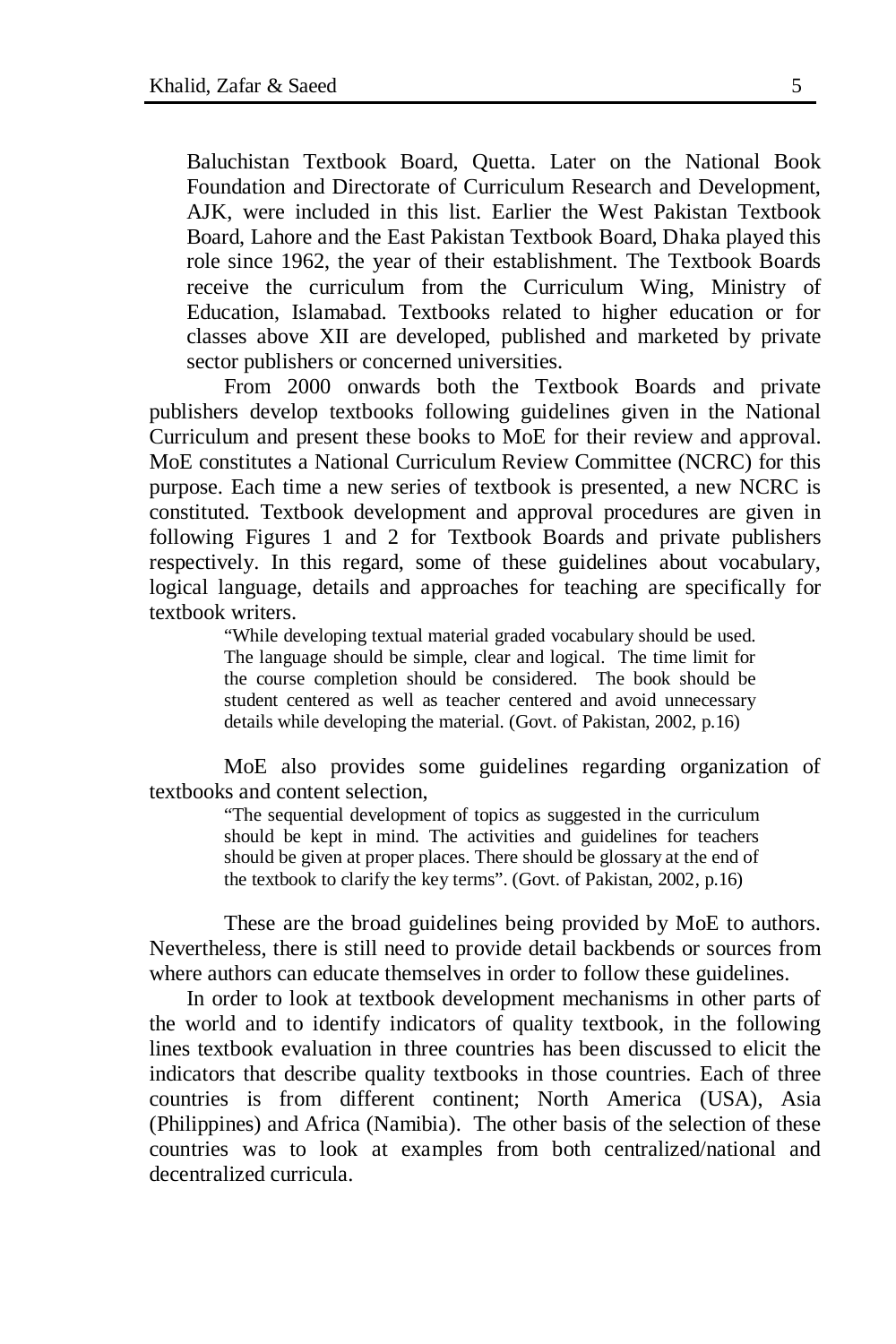Baluchistan Textbook Board, Quetta. Later on the National Book Foundation and Directorate of Curriculum Research and Development, AJK, were included in this list. Earlier the West Pakistan Textbook Board, Lahore and the East Pakistan Textbook Board, Dhaka played this role since 1962, the year of their establishment. The Textbook Boards receive the curriculum from the Curriculum Wing, Ministry of Education, Islamabad. Textbooks related to higher education or for classes above XII are developed, published and marketed by private sector publishers or concerned universities.

From 2000 onwards both the Textbook Boards and private publishers develop textbooks following guidelines given in the National Curriculum and present these books to MoE for their review and approval. MoE constitutes a National Curriculum Review Committee (NCRC) for this purpose. Each time a new series of textbook is presented, a new NCRC is constituted. Textbook development and approval procedures are given in following Figures 1 and 2 for Textbook Boards and private publishers respectively. In this regard, some of these guidelines about vocabulary, logical language, details and approaches for teaching are specifically for textbook writers.

> "While developing textual material graded vocabulary should be used. The language should be simple, clear and logical. The time limit for the course completion should be considered. The book should be student centered as well as teacher centered and avoid unnecessary details while developing the material. (Govt. of Pakistan, 2002, p.16)

MoE also provides some guidelines regarding organization of textbooks and content selection,

> "The sequential development of topics as suggested in the curriculum should be kept in mind. The activities and guidelines for teachers should be given at proper places. There should be glossary at the end of the textbook to clarify the key terms". (Govt. of Pakistan, 2002, p.16)

These are the broad guidelines being provided by MoE to authors. Nevertheless, there is still need to provide detail backbends or sources from where authors can educate themselves in order to follow these guidelines.

In order to look at textbook development mechanisms in other parts of the world and to identify indicators of quality textbook, in the following lines textbook evaluation in three countries has been discussed to elicit the indicators that describe quality textbooks in those countries. Each of three countries is from different continent; North America (USA), Asia (Philippines) and Africa (Namibia). The other basis of the selection of these countries was to look at examples from both centralized/national and decentralized curricula.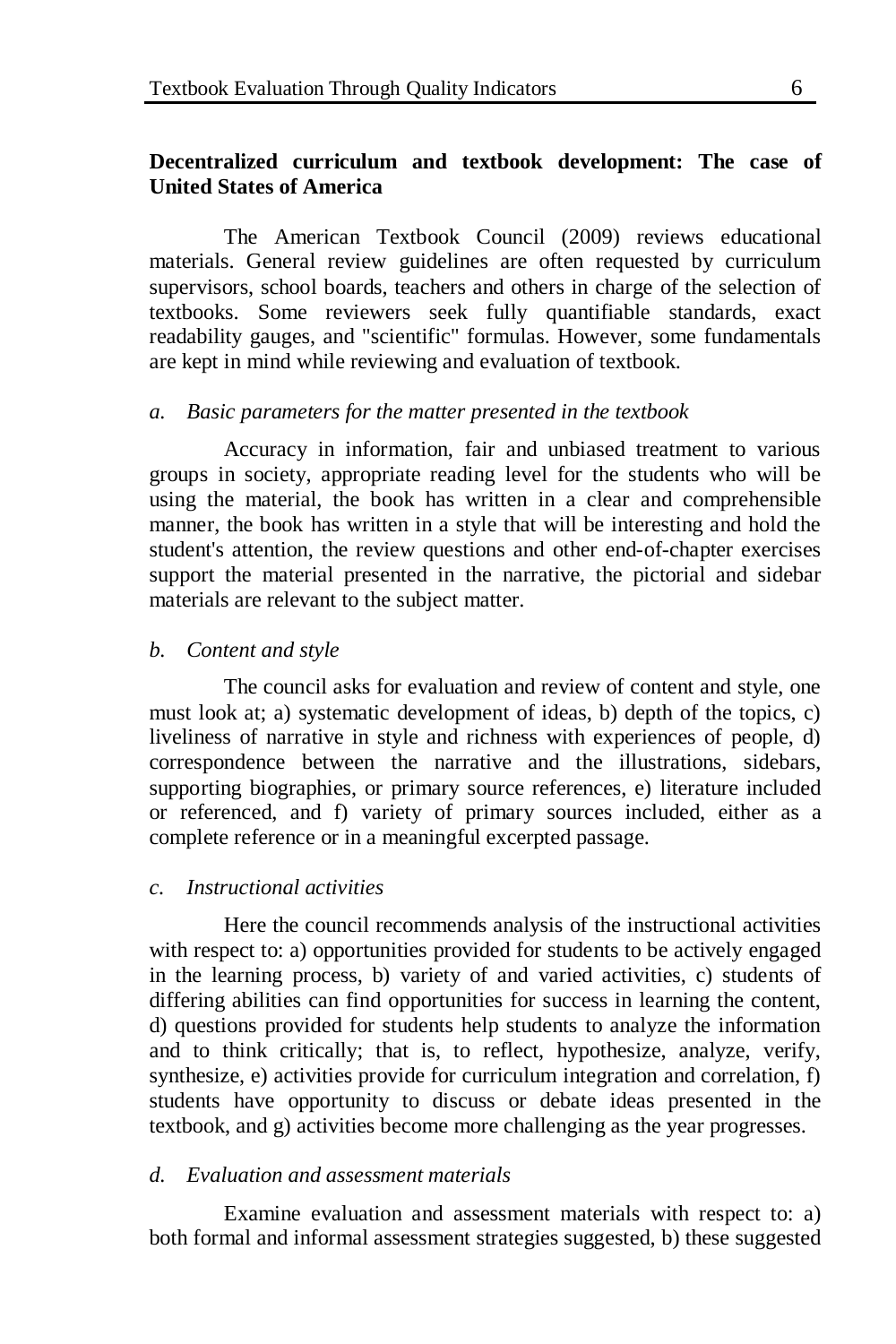### **Decentralized curriculum and textbook development: The case of United States of America**

The American Textbook Council (2009) reviews educational materials. General review guidelines are often requested by curriculum supervisors, school boards, teachers and others in charge of the selection of textbooks. Some reviewers seek fully quantifiable standards, exact readability gauges, and "scientific" formulas. However, some fundamentals are kept in mind while reviewing and evaluation of textbook.

#### *a. Basic parameters for the matter presented in the textbook*

Accuracy in information, fair and unbiased treatment to various groups in society, appropriate reading level for the students who will be using the material, the book has written in a clear and comprehensible manner, the book has written in a style that will be interesting and hold the student's attention, the review questions and other end-of-chapter exercises support the material presented in the narrative, the pictorial and sidebar materials are relevant to the subject matter.

#### *b. Content and style*

The council asks for evaluation and review of content and style, one must look at; a) systematic development of ideas, b) depth of the topics, c) liveliness of narrative in style and richness with experiences of people, d) correspondence between the narrative and the illustrations, sidebars, supporting biographies, or primary source references, e) literature included or referenced, and f) variety of primary sources included, either as a complete reference or in a meaningful excerpted passage.

#### *c. Instructional activities*

Here the council recommends analysis of the instructional activities with respect to: a) opportunities provided for students to be actively engaged in the learning process, b) variety of and varied activities, c) students of differing abilities can find opportunities for success in learning the content, d) questions provided for students help students to analyze the information and to think critically; that is, to reflect, hypothesize, analyze, verify, synthesize, e) activities provide for curriculum integration and correlation, f) students have opportunity to discuss or debate ideas presented in the textbook, and g) activities become more challenging as the year progresses.

### *d. Evaluation and assessment materials*

Examine evaluation and assessment materials with respect to: a) both formal and informal assessment strategies suggested, b) these suggested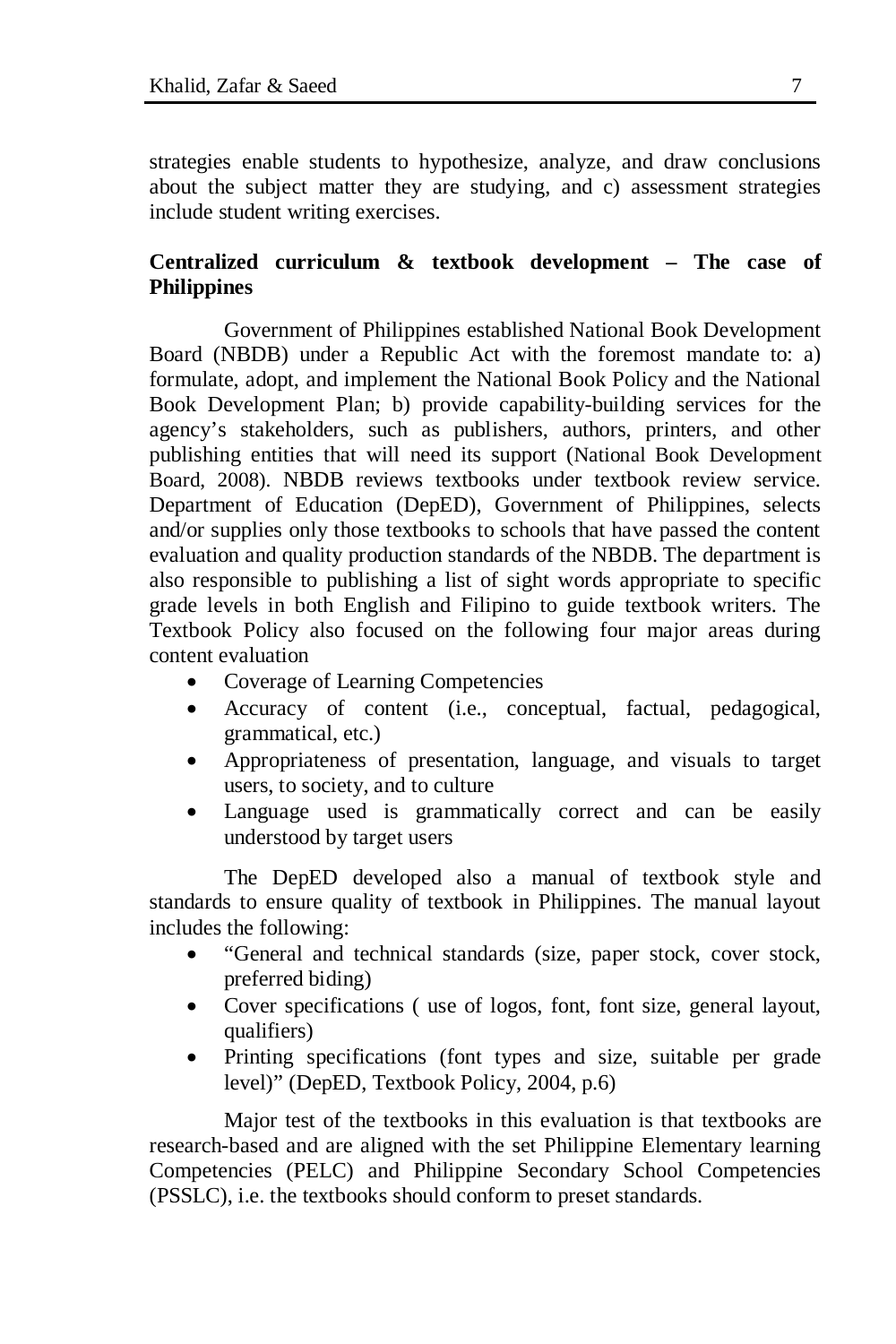strategies enable students to hypothesize, analyze, and draw conclusions about the subject matter they are studying, and c) assessment strategies include student writing exercises.

## **Centralized curriculum & textbook development – The case of Philippines**

Government of Philippines established National Book Development Board (NBDB) under a Republic Act with the foremost mandate to: a) formulate, adopt, and implement the National Book Policy and the National Book Development Plan; b) provide capability-building services for the agency's stakeholders, such as publishers, authors, printers, and other publishing entities that will need its support (National Book Development Board, 2008). NBDB reviews textbooks under textbook review service. Department of Education (DepED), Government of Philippines, selects and/or supplies only those textbooks to schools that have passed the content evaluation and quality production standards of the NBDB. The department is also responsible to publishing a list of sight words appropriate to specific grade levels in both English and Filipino to guide textbook writers. The Textbook Policy also focused on the following four major areas during content evaluation

- Coverage of Learning Competencies
- Accuracy of content (i.e., conceptual, factual, pedagogical, grammatical, etc.)
- Appropriateness of presentation, language, and visuals to target users, to society, and to culture
- Language used is grammatically correct and can be easily understood by target users

The DepED developed also a manual of textbook style and standards to ensure quality of textbook in Philippines. The manual layout includes the following:

- "General and technical standards (size, paper stock, cover stock, preferred biding)
- Cover specifications ( use of logos, font, font size, general layout, qualifiers)
- Printing specifications (font types and size, suitable per grade level)" (DepED, Textbook Policy, 2004, p.6)

Major test of the textbooks in this evaluation is that textbooks are research-based and are aligned with the set Philippine Elementary learning Competencies (PELC) and Philippine Secondary School Competencies (PSSLC), i.e. the textbooks should conform to preset standards.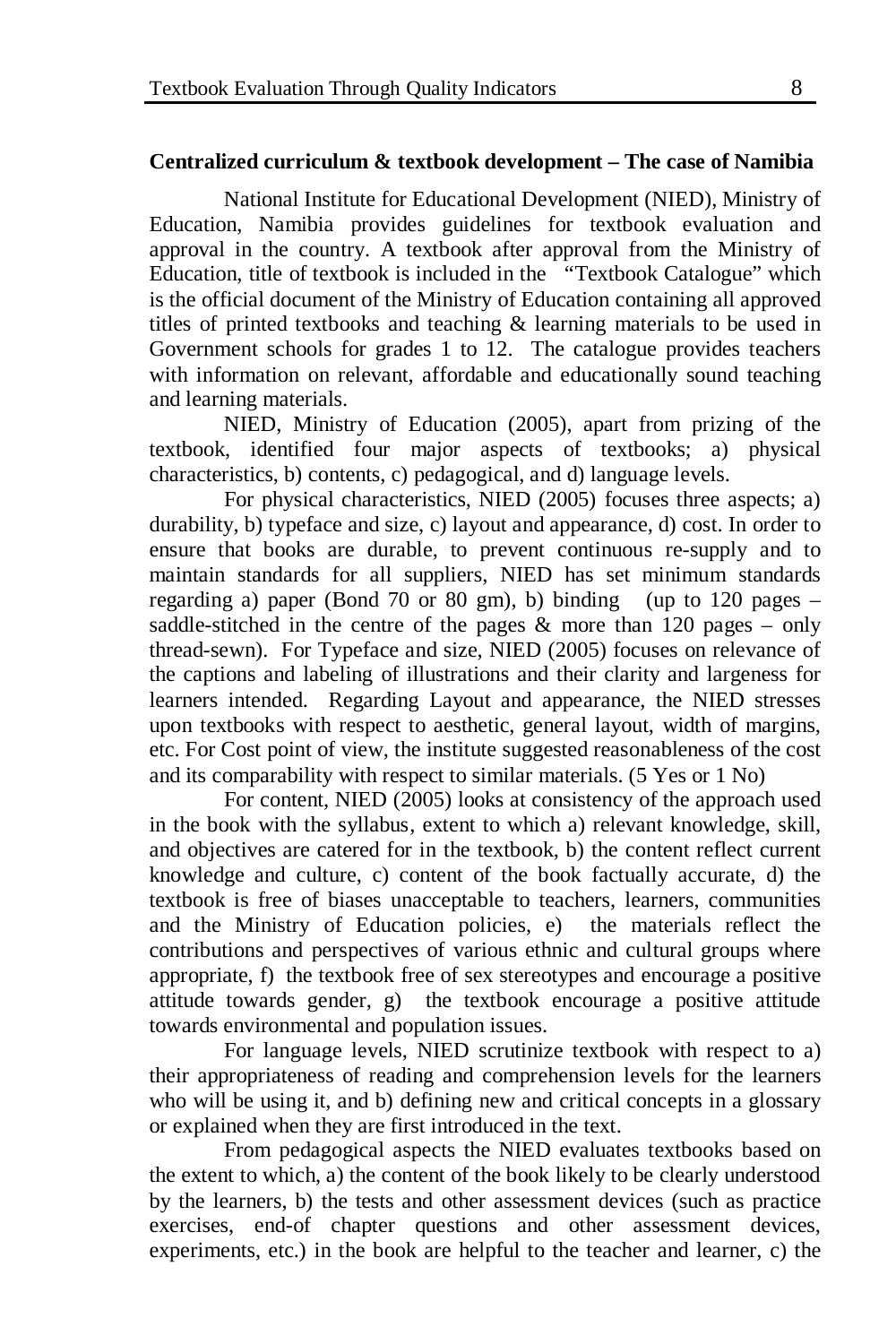### **Centralized curriculum & textbook development – The case of Namibia**

National Institute for Educational Development (NIED), Ministry of Education, Namibia provides guidelines for textbook evaluation and approval in the country. A textbook after approval from the Ministry of Education, title of textbook is included in the "Textbook Catalogue" which is the official document of the Ministry of Education containing all approved titles of printed textbooks and teaching & learning materials to be used in Government schools for grades 1 to 12. The catalogue provides teachers with information on relevant, affordable and educationally sound teaching and learning materials.

NIED, Ministry of Education (2005), apart from prizing of the textbook, identified four major aspects of textbooks; a) physical characteristics, b) contents, c) pedagogical, and d) language levels.

For physical characteristics, NIED (2005) focuses three aspects; a) durability, b) typeface and size, c) layout and appearance, d) cost. In order to ensure that books are durable, to prevent continuous re-supply and to maintain standards for all suppliers, NIED has set minimum standards regarding a) paper (Bond 70 or 80 gm), b) binding (up to 120 pages – saddle-stitched in the centre of the pages  $\&$  more than 120 pages – only thread-sewn). For Typeface and size, NIED (2005) focuses on relevance of the captions and labeling of illustrations and their clarity and largeness for learners intended. Regarding Layout and appearance, the NIED stresses upon textbooks with respect to aesthetic, general layout, width of margins, etc. For Cost point of view, the institute suggested reasonableness of the cost and its comparability with respect to similar materials. (5 Yes or 1 No)

For content, NIED (2005) looks at consistency of the approach used in the book with the syllabus, extent to which a) relevant knowledge, skill, and objectives are catered for in the textbook, b) the content reflect current knowledge and culture, c) content of the book factually accurate, d) the textbook is free of biases unacceptable to teachers, learners, communities and the Ministry of Education policies, e) the materials reflect the contributions and perspectives of various ethnic and cultural groups where appropriate, f) the textbook free of sex stereotypes and encourage a positive attitude towards gender, g) the textbook encourage a positive attitude towards environmental and population issues.

For language levels, NIED scrutinize textbook with respect to a) their appropriateness of reading and comprehension levels for the learners who will be using it, and b) defining new and critical concepts in a glossary or explained when they are first introduced in the text.

From pedagogical aspects the NIED evaluates textbooks based on the extent to which, a) the content of the book likely to be clearly understood by the learners, b) the tests and other assessment devices (such as practice exercises, end-of chapter questions and other assessment devices, experiments, etc.) in the book are helpful to the teacher and learner, c) the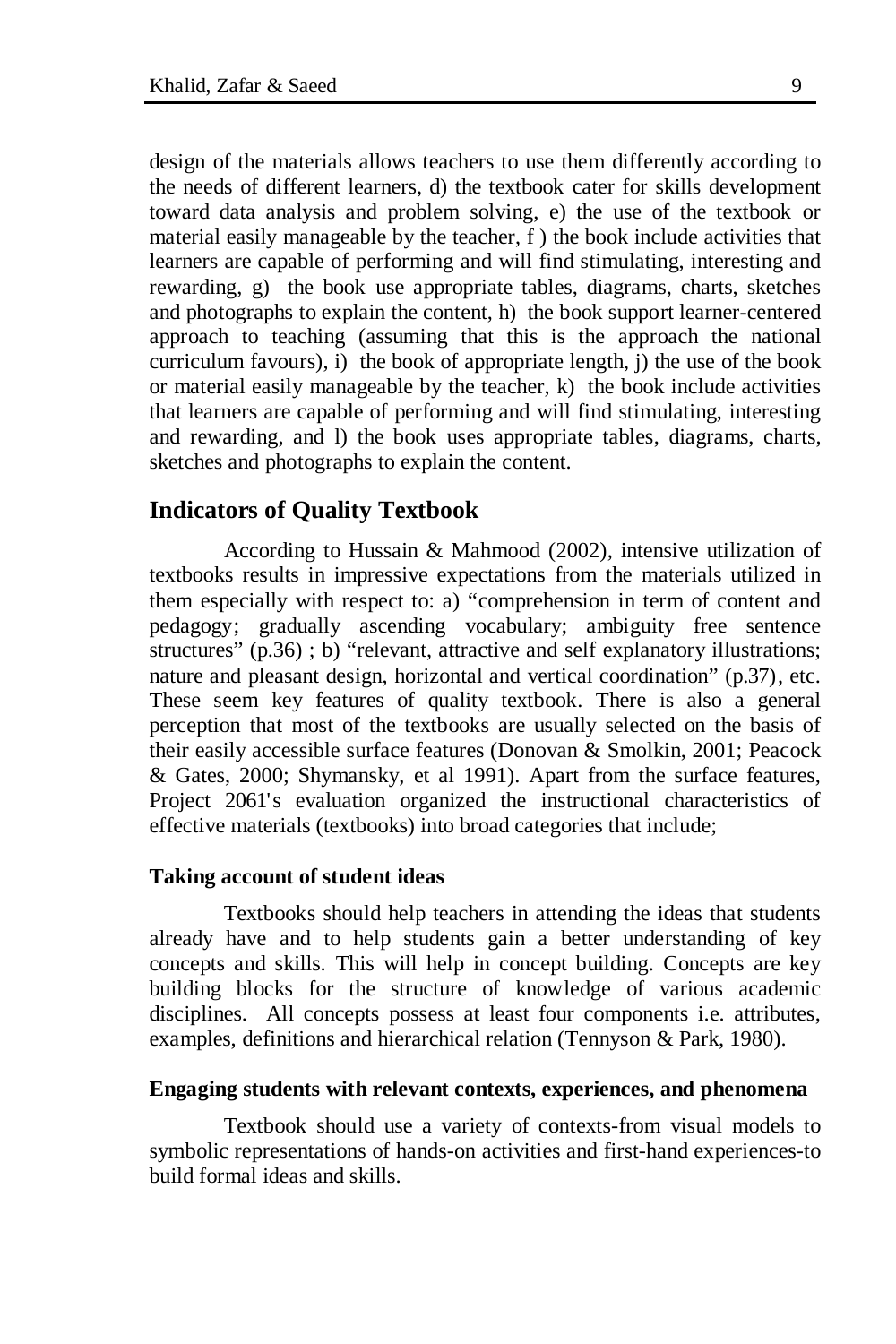design of the materials allows teachers to use them differently according to the needs of different learners, d) the textbook cater for skills development toward data analysis and problem solving, e) the use of the textbook or material easily manageable by the teacher, f ) the book include activities that learners are capable of performing and will find stimulating, interesting and rewarding, g) the book use appropriate tables, diagrams, charts, sketches and photographs to explain the content, h) the book support learner-centered approach to teaching (assuming that this is the approach the national curriculum favours), i) the book of appropriate length, j) the use of the book or material easily manageable by the teacher, k) the book include activities that learners are capable of performing and will find stimulating, interesting and rewarding, and l) the book uses appropriate tables, diagrams, charts, sketches and photographs to explain the content.

### **Indicators of Quality Textbook**

According to Hussain & Mahmood (2002), intensive utilization of textbooks results in impressive expectations from the materials utilized in them especially with respect to: a) "comprehension in term of content and pedagogy; gradually ascending vocabulary; ambiguity free sentence structures" (p.36); b) "relevant, attractive and self explanatory illustrations; nature and pleasant design, horizontal and vertical coordination" (p.37), etc. These seem key features of quality textbook. There is also a general perception that most of the textbooks are usually selected on the basis of their easily accessible surface features (Donovan & Smolkin, 2001; Peacock & Gates, 2000; Shymansky, et al 1991). Apart from the surface features, Project 2061's evaluation organized the instructional characteristics of effective materials (textbooks) into broad categories that include;

#### **Taking account of student ideas**

Textbooks should help teachers in attending the ideas that students already have and to help students gain a better understanding of key concepts and skills. This will help in concept building. Concepts are key building blocks for the structure of knowledge of various academic disciplines. All concepts possess at least four components i.e. attributes, examples, definitions and hierarchical relation (Tennyson & Park, 1980).

#### **Engaging students with relevant contexts, experiences, and phenomena**

Textbook should use a variety of contexts-from visual models to symbolic representations of hands-on activities and first-hand experiences-to build formal ideas and skills.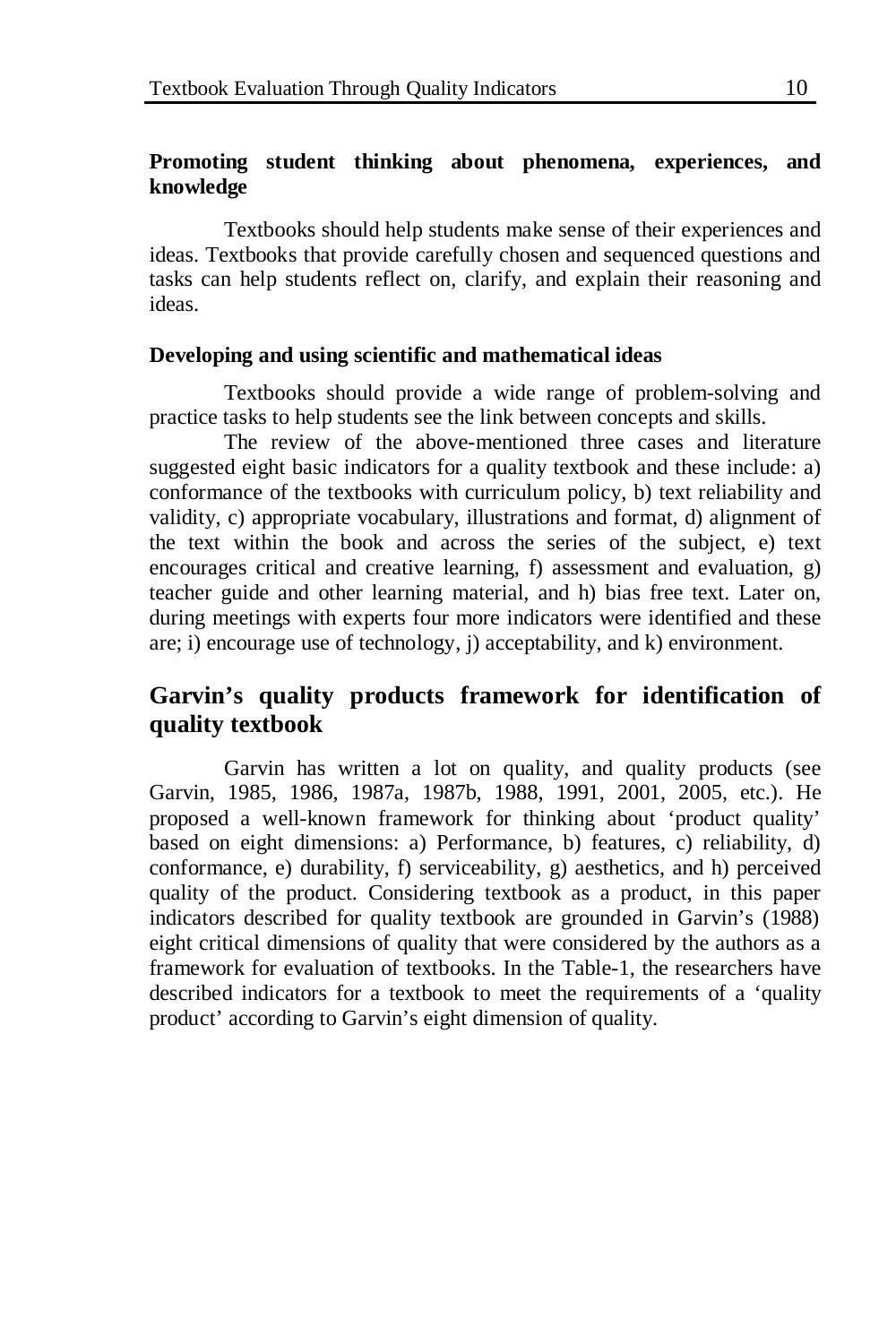### **Promoting student thinking about phenomena, experiences, and knowledge**

Textbooks should help students make sense of their experiences and ideas. Textbooks that provide carefully chosen and sequenced questions and tasks can help students reflect on, clarify, and explain their reasoning and ideas.

### **Developing and using scientific and mathematical ideas**

Textbooks should provide a wide range of problem-solving and practice tasks to help students see the link between concepts and skills.

The review of the above-mentioned three cases and literature suggested eight basic indicators for a quality textbook and these include: a) conformance of the textbooks with curriculum policy, b) text reliability and validity, c) appropriate vocabulary, illustrations and format, d) alignment of the text within the book and across the series of the subject, e) text encourages critical and creative learning, f) assessment and evaluation, g) teacher guide and other learning material, and h) bias free text. Later on, during meetings with experts four more indicators were identified and these are; i) encourage use of technology, j) acceptability, and k) environment.

# **Garvin's quality products framework for identification of quality textbook**

Garvin has written a lot on quality, and quality products (see Garvin, 1985, 1986, 1987a, 1987b, 1988, 1991, 2001, 2005, etc.). He proposed a well-known framework for thinking about 'product quality' based on eight dimensions: a) Performance, b) features, c) reliability, d) conformance, e) durability, f) serviceability, g) aesthetics, and h) perceived quality of the product. Considering textbook as a product, in this paper indicators described for quality textbook are grounded in Garvin's (1988) eight critical dimensions of quality that were considered by the authors as a framework for evaluation of textbooks. In the Table-1, the researchers have described indicators for a textbook to meet the requirements of a 'quality product' according to Garvin's eight dimension of quality.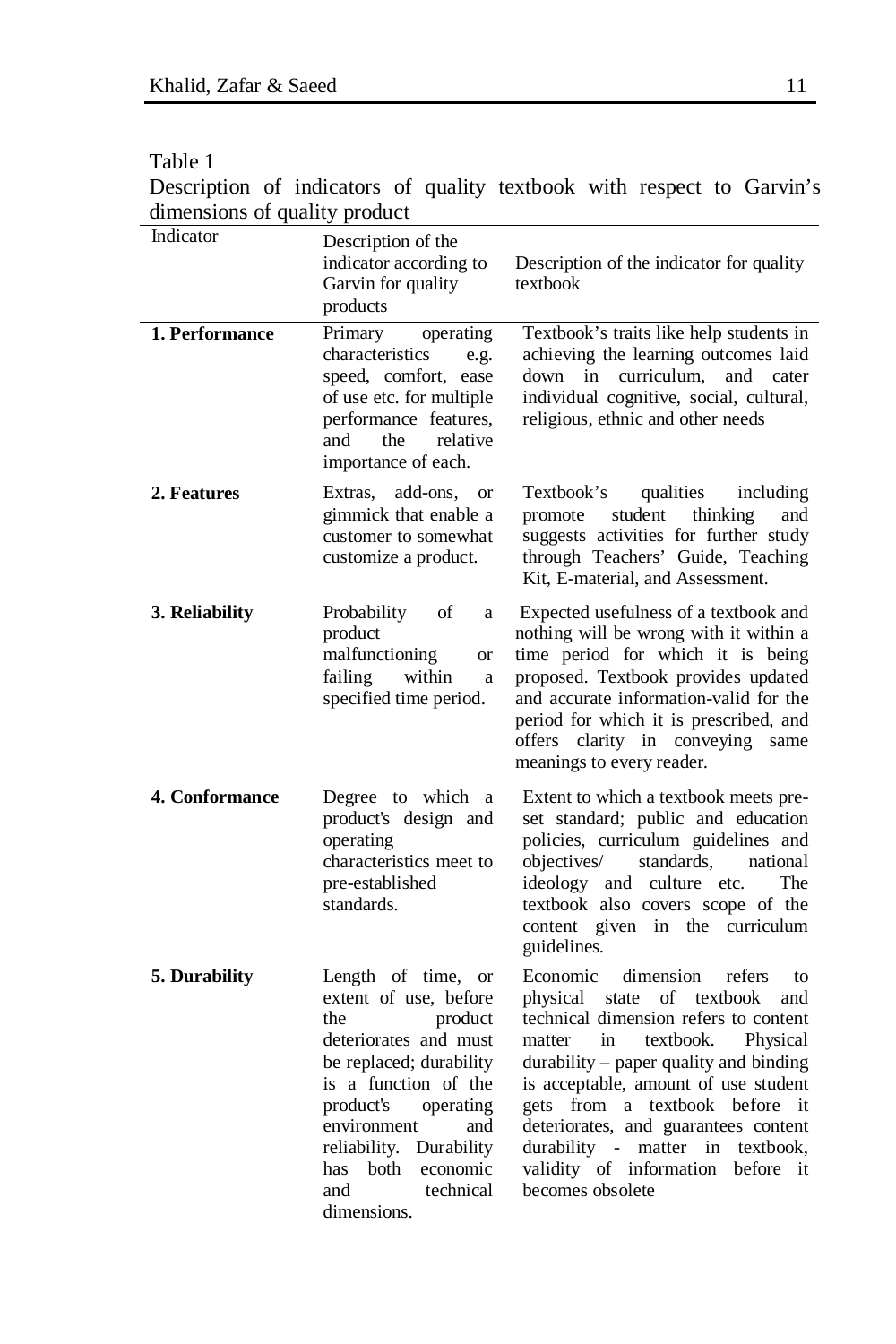Table 1

Description of indicators of quality textbook with respect to Garvin's dimensions of quality product

| Indicator             | Description of the<br>indicator according to<br>Garvin for quality<br>products                                                                                                                                                                                               | Description of the indicator for quality<br>textbook                                                                                                                                                                                                                                                                                                                                                                              |
|-----------------------|------------------------------------------------------------------------------------------------------------------------------------------------------------------------------------------------------------------------------------------------------------------------------|-----------------------------------------------------------------------------------------------------------------------------------------------------------------------------------------------------------------------------------------------------------------------------------------------------------------------------------------------------------------------------------------------------------------------------------|
| 1. Performance        | Primary<br>operating<br>characteristics<br>e.g.<br>speed, comfort, ease<br>of use etc. for multiple<br>performance features,<br>the<br>relative<br>and<br>importance of each.                                                                                                | Textbook's traits like help students in<br>achieving the learning outcomes laid<br>curriculum,<br>down in<br>and<br>cater<br>individual cognitive, social, cultural,<br>religious, ethnic and other needs                                                                                                                                                                                                                         |
| 2. Features           | Extras, add-ons,<br><b>or</b><br>gimmick that enable a<br>customer to somewhat<br>customize a product.                                                                                                                                                                       | qualities<br>Textbook's<br>including<br>student<br>thinking<br>promote<br>and<br>suggests activities for further study<br>through Teachers' Guide, Teaching<br>Kit, E-material, and Assessment.                                                                                                                                                                                                                                   |
| 3. Reliability        | Probability<br>οf<br>a<br>product<br>malfunctioning<br><b>or</b><br>failing<br>within<br>a<br>specified time period.                                                                                                                                                         | Expected usefulness of a textbook and<br>nothing will be wrong with it within a<br>time period for which it is being<br>proposed. Textbook provides updated<br>and accurate information-valid for the<br>period for which it is prescribed, and<br>offers clarity in conveying<br>same<br>meanings to every reader.                                                                                                               |
| <b>4. Conformance</b> | Degree to which a<br>product's design and<br>operating<br>characteristics meet to<br>pre-established<br>standards.                                                                                                                                                           | Extent to which a textbook meets pre-<br>set standard; public and education<br>policies, curriculum guidelines and<br>objectives/<br>standards,<br>national<br>ideology and culture etc.<br>The<br>textbook also covers scope of the<br>content given in the curriculum<br>guidelines.                                                                                                                                            |
| 5. Durability         | Length of time, or<br>extent of use, before<br>product<br>the<br>deteriorates and must<br>be replaced; durability<br>is a function of the<br>product's<br>operating<br>environment<br>and<br>reliability. Durability<br>has both economic<br>technical<br>and<br>dimensions. | Economic<br>dimension<br>refers<br>to<br>physical state of textbook<br>and<br>technical dimension refers to content<br>textbook.<br>Physical<br>matter<br>in<br>durability - paper quality and binding<br>is acceptable, amount of use student<br>gets from a textbook before it<br>deteriorates, and guarantees content<br>durability - matter<br>in<br>textbook,<br>validity of information<br>before<br>it<br>becomes obsolete |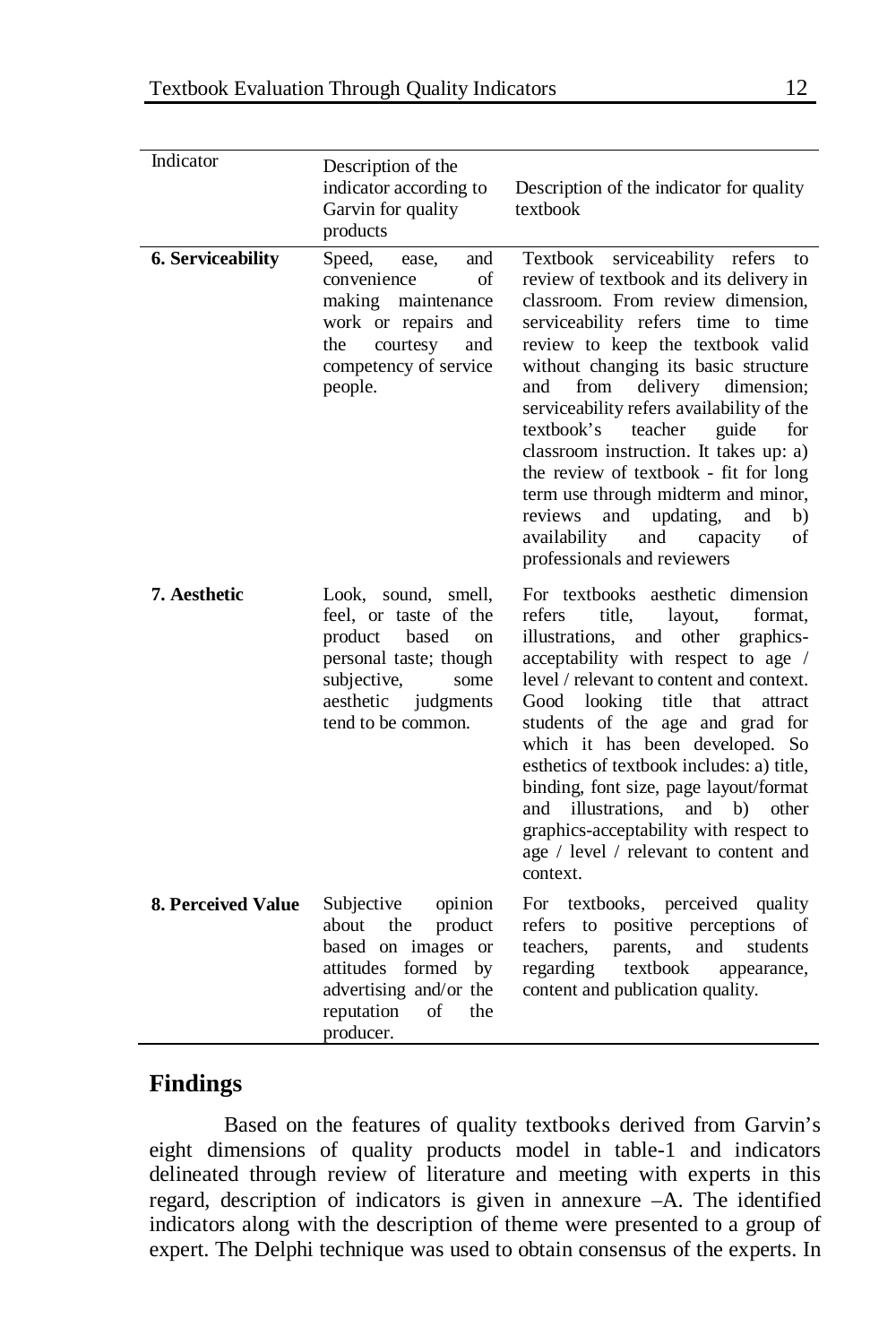| Indicator          | Description of the<br>indicator according to<br>Garvin for quality<br>products                                                                                          | Description of the indicator for quality<br>textbook                                                                                                                                                                                                                                                                                                                                                                                                                                                                                                                                                             |
|--------------------|-------------------------------------------------------------------------------------------------------------------------------------------------------------------------|------------------------------------------------------------------------------------------------------------------------------------------------------------------------------------------------------------------------------------------------------------------------------------------------------------------------------------------------------------------------------------------------------------------------------------------------------------------------------------------------------------------------------------------------------------------------------------------------------------------|
| 6. Serviceability  | Speed,<br>and<br>ease,<br>convenience<br>of<br>making maintenance<br>work or repairs and<br>the<br>courtesy<br>and<br>competency of service<br>people.                  | Textbook serviceability refers<br>to<br>review of textbook and its delivery in<br>classroom. From review dimension,<br>serviceability refers time to time<br>review to keep the textbook valid<br>without changing its basic structure<br>from<br>delivery dimension;<br>and<br>serviceability refers availability of the<br>textbook's<br>teacher<br>guide<br>for<br>classroom instruction. It takes up: a)<br>the review of textbook - fit for long<br>term use through midterm and minor,<br>reviews<br>and<br>updating,<br>and<br>b)<br>availability<br>and<br>capacity<br>of<br>professionals and reviewers |
| 7. Aesthetic       | Look, sound, smell,<br>feel, or taste of the<br>product<br>based<br>on<br>personal taste; though<br>subjective,<br>some<br>aesthetic<br>judgments<br>tend to be common. | For textbooks aesthetic dimension<br>title.<br>refers<br>layout,<br>format.<br>illustrations, and other<br>graphics-<br>acceptability with respect to age /<br>level / relevant to content and context.<br>Good<br>looking<br>title<br>that<br>attract<br>students of the age and grad for<br>which it has been developed. So<br>esthetics of textbook includes: a) title,<br>binding, font size, page layout/format<br>illustrations, and b)<br>and<br>other<br>graphics-acceptability with respect to<br>age / level / relevant to content and<br>context.                                                     |
| 8. Perceived Value | Subjective<br>opinion<br>product<br>about<br>the<br>based on images or<br>attitudes formed by<br>advertising and/or the<br>reputation<br>οf<br>the<br>producer.         | For textbooks, perceived quality<br>positive perceptions<br>refers to<br>of<br>teachers.<br>and<br>students<br>parents,<br>regarding<br>textbook<br>appearance,<br>content and publication quality.                                                                                                                                                                                                                                                                                                                                                                                                              |

## **Findings**

Based on the features of quality textbooks derived from Garvin's eight dimensions of quality products model in table-1 and indicators delineated through review of literature and meeting with experts in this regard, description of indicators is given in annexure –A. The identified indicators along with the description of theme were presented to a group of expert. The Delphi technique was used to obtain consensus of the experts. In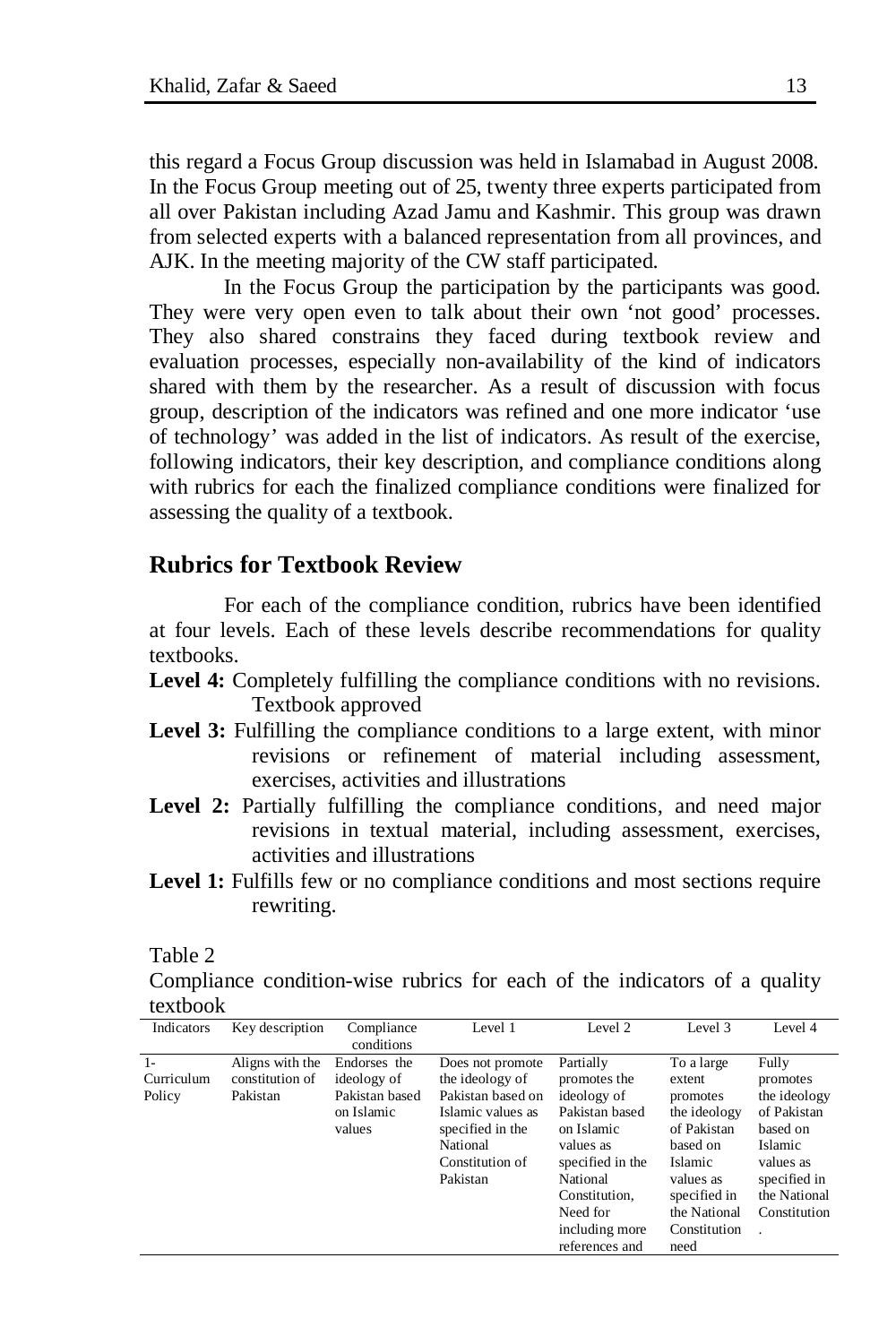this regard a Focus Group discussion was held in Islamabad in August 2008. In the Focus Group meeting out of 25, twenty three experts participated from all over Pakistan including Azad Jamu and Kashmir. This group was drawn from selected experts with a balanced representation from all provinces, and AJK. In the meeting majority of the CW staff participated.

In the Focus Group the participation by the participants was good. They were very open even to talk about their own 'not good' processes. They also shared constrains they faced during textbook review and evaluation processes, especially non-availability of the kind of indicators shared with them by the researcher. As a result of discussion with focus group, description of the indicators was refined and one more indicator 'use of technology' was added in the list of indicators. As result of the exercise, following indicators, their key description, and compliance conditions along with rubrics for each the finalized compliance conditions were finalized for assessing the quality of a textbook.

### **Rubrics for Textbook Review**

For each of the compliance condition, rubrics have been identified at four levels. Each of these levels describe recommendations for quality textbooks.

- **Level 4:** Completely fulfilling the compliance conditions with no revisions. Textbook approved
- **Level 3:** Fulfilling the compliance conditions to a large extent, with minor revisions or refinement of material including assessment, exercises, activities and illustrations
- Level 2: Partially fulfilling the compliance conditions, and need major revisions in textual material, including assessment, exercises, activities and illustrations
- Level 1: Fulfills few or no compliance conditions and most sections require rewriting.

Table 2

Compliance condition-wise rubrics for each of the indicators of a quality textbook

| Indicators                   | Key description                                | Compliance<br>conditions                                              | Level 1                                                                                                                                      | Level 2                                                                                                                                                                                | Level 3                                                                                                                                                            | Level 4                                                                                                                                     |
|------------------------------|------------------------------------------------|-----------------------------------------------------------------------|----------------------------------------------------------------------------------------------------------------------------------------------|----------------------------------------------------------------------------------------------------------------------------------------------------------------------------------------|--------------------------------------------------------------------------------------------------------------------------------------------------------------------|---------------------------------------------------------------------------------------------------------------------------------------------|
| $1-$<br>Curriculum<br>Policy | Aligns with the<br>constitution of<br>Pakistan | Endorses the<br>ideology of<br>Pakistan based<br>on Islamic<br>values | Does not promote<br>the ideology of<br>Pakistan based on<br>Islamic values as<br>specified in the<br>National<br>Constitution of<br>Pakistan | Partially<br>promotes the<br>ideology of<br>Pakistan based<br>on Islamic<br>values as<br>specified in the<br>National<br>Constitution.<br>Need for<br>including more<br>references and | To a large<br>extent<br>promotes<br>the ideology<br>of Pakistan<br>based on<br><b>Islamic</b><br>values as<br>specified in<br>the National<br>Constitution<br>need | Fully<br>promotes<br>the ideology<br>of Pakistan<br>based on<br><b>Islamic</b><br>values as<br>specified in<br>the National<br>Constitution |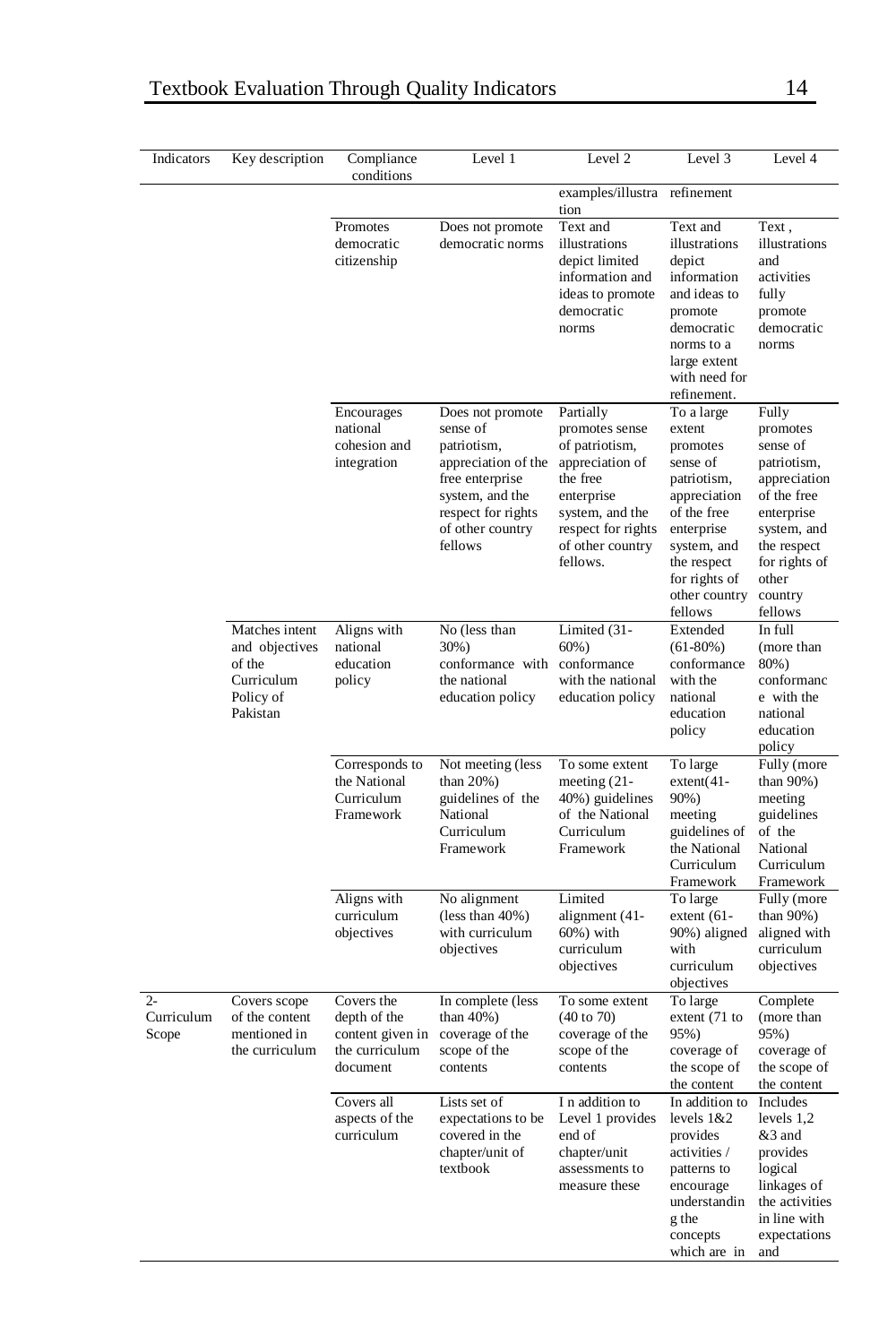| Indicators                   | Key description                                                                   | Compliance<br>conditions                                                     | Level 1                                                                                                                                                       | Level 2                                                                                                                                                             | Level 3                                                                                                                                                                             | Level 4                                                                                                                                                                 |
|------------------------------|-----------------------------------------------------------------------------------|------------------------------------------------------------------------------|---------------------------------------------------------------------------------------------------------------------------------------------------------------|---------------------------------------------------------------------------------------------------------------------------------------------------------------------|-------------------------------------------------------------------------------------------------------------------------------------------------------------------------------------|-------------------------------------------------------------------------------------------------------------------------------------------------------------------------|
|                              |                                                                                   |                                                                              |                                                                                                                                                               | examples/illustra refinement<br>tion                                                                                                                                |                                                                                                                                                                                     |                                                                                                                                                                         |
|                              |                                                                                   | Promotes<br>democratic<br>citizenship                                        | Does not promote<br>democratic norms                                                                                                                          | Text and<br>illustrations<br>depict limited<br>information and<br>ideas to promote<br>democratic<br>norms                                                           | Text and<br>illustrations<br>depict<br>information<br>and ideas to<br>promote<br>democratic<br>norms to a<br>large extent<br>with need for<br>refinement.                           | Text,<br>illustrations<br>and<br>activities<br>fully<br>promote<br>democratic<br>norms                                                                                  |
|                              |                                                                                   | Encourages<br>national<br>cohesion and<br>integration                        | Does not promote<br>sense of<br>patriotism,<br>appreciation of the<br>free enterprise<br>system, and the<br>respect for rights<br>of other country<br>fellows | Partially<br>promotes sense<br>of patriotism,<br>appreciation of<br>the free<br>enterprise<br>system, and the<br>respect for rights<br>of other country<br>fellows. | To a large<br>extent<br>promotes<br>sense of<br>patriotism,<br>appreciation<br>of the free<br>enterprise<br>system, and<br>the respect<br>for rights of<br>other country<br>fellows | Fully<br>promotes<br>sense of<br>patriotism,<br>appreciation<br>of the free<br>enterprise<br>system, and<br>the respect<br>for rights of<br>other<br>country<br>fellows |
|                              | Matches intent<br>and objectives<br>of the<br>Curriculum<br>Policy of<br>Pakistan | Aligns with<br>national<br>education<br>policy                               | No (less than<br>30%)<br>conformance with conformance<br>the national<br>education policy                                                                     | Limited (31-<br>$60%$ )<br>with the national<br>education policy                                                                                                    | Extended<br>$(61-80%)$<br>conformance<br>with the<br>national<br>education<br>policy                                                                                                | In full<br>(more than<br>80%)<br>conformanc<br>e with the<br>national<br>education<br>policy                                                                            |
|                              |                                                                                   | Corresponds to<br>the National<br>Curriculum<br>Framework                    | Not meeting (less<br>than $20\%$ )<br>guidelines of the<br>National<br>Curriculum<br>Framework                                                                | To some extent<br>meeting $(21 -$<br>40%) guidelines<br>of the National<br>Curriculum<br>Framework                                                                  | To large<br>$extent(41-$<br>90%)<br>meeting<br>guidelines of<br>the National<br>Curriculum<br>Framework                                                                             | Fully (more<br>than 90%)<br>meeting<br>guidelines<br>of the<br>National<br>Curriculum<br>Framework                                                                      |
|                              |                                                                                   | Aligns with<br>curriculum<br>objectives                                      | No alignment<br>$(\text{less than } 40\%)$<br>with curriculum<br>objectives                                                                                   | Limited<br>alignment (41-<br>60%) with<br>curriculum<br>objectives                                                                                                  | To large<br>extent $(61 -$<br>90%) aligned<br>with<br>curriculum<br>objectives                                                                                                      | Fully (more<br>than 90%)<br>aligned with<br>curriculum<br>objectives                                                                                                    |
| $2 -$<br>Curriculum<br>Scope | Covers scope<br>of the content<br>mentioned in<br>the curriculum                  | Covers the<br>depth of the<br>content given in<br>the curriculum<br>document | In complete (less<br>than 40%)<br>coverage of the<br>scope of the<br>contents                                                                                 | To some extent<br>$(40 \text{ to } 70)$<br>coverage of the<br>scope of the<br>contents                                                                              | To large<br>extent (71 to<br>95%)<br>coverage of<br>the scope of<br>the content                                                                                                     | Complete<br>(more than<br>95%)<br>coverage of<br>the scope of<br>the content                                                                                            |
|                              |                                                                                   | Covers all<br>aspects of the<br>curriculum                                   | Lists set of<br>expectations to be<br>covered in the<br>chapter/unit of<br>textbook                                                                           | I n addition to<br>Level 1 provides<br>end of<br>chapter/unit<br>assessments to<br>measure these                                                                    | In addition to<br>levels 1&2<br>provides<br>activities /<br>patterns to<br>encourage<br>understandin<br>g the<br>concepts<br>which are in                                           | Includes<br>levels 1,2<br>&3 and<br>provides<br>logical<br>linkages of<br>the activities<br>in line with<br>expectations<br>and                                         |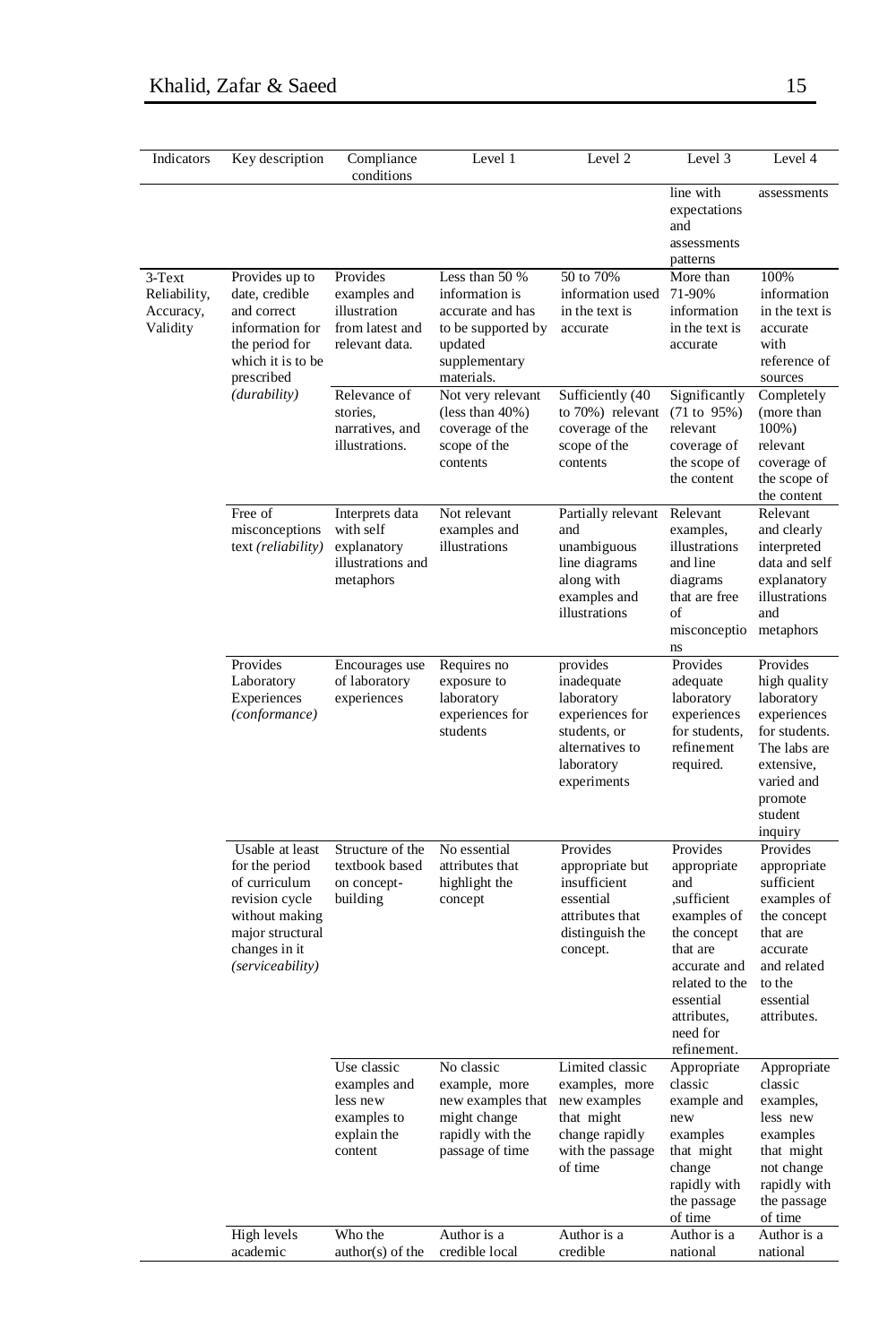| Indicators                                      | Key description                                                                                                                                  | Compliance<br>conditions                                                                      | Level 1                                                                                                                                   | Level 2                                                                                                                 | Level 3                                                                                                                                                                          | Level 4                                                                                                                                             |
|-------------------------------------------------|--------------------------------------------------------------------------------------------------------------------------------------------------|-----------------------------------------------------------------------------------------------|-------------------------------------------------------------------------------------------------------------------------------------------|-------------------------------------------------------------------------------------------------------------------------|----------------------------------------------------------------------------------------------------------------------------------------------------------------------------------|-----------------------------------------------------------------------------------------------------------------------------------------------------|
|                                                 |                                                                                                                                                  |                                                                                               |                                                                                                                                           |                                                                                                                         | line with<br>expectations<br>and<br>assessments<br>patterns                                                                                                                      | assessments                                                                                                                                         |
| 3-Text<br>Reliability,<br>Accuracy,<br>Validity | Provides up to<br>date, credible<br>and correct<br>information for<br>the period for<br>which it is to be<br>prescribed<br>( <i>durability</i> ) | Provides<br>examples and<br>illustration<br>from latest and<br>relevant data.<br>Relevance of | Less than 50 %<br>information is<br>accurate and has<br>to be supported by<br>updated<br>supplementary<br>materials.<br>Not very relevant | 50 to 70%<br>information used<br>in the text is<br>accurate<br>Sufficiently (40                                         | More than<br>71-90%<br>information<br>in the text is<br>accurate<br>Significantly                                                                                                | 100%<br>information<br>in the text is<br>accurate<br>with<br>reference of<br>sources<br>Completely                                                  |
|                                                 |                                                                                                                                                  | stories.<br>narratives, and<br>illustrations.                                                 | $(less than 40\%)$<br>coverage of the<br>scope of the<br>contents                                                                         | to 70%) relevant<br>coverage of the<br>scope of the<br>contents                                                         | (71 to 95%)<br>relevant<br>coverage of<br>the scope of<br>the content                                                                                                            | (more than<br>$100\%$ )<br>relevant<br>coverage of<br>the scope of<br>the content                                                                   |
|                                                 | Free of<br>misconceptions<br>text (reliability)                                                                                                  | Interprets data<br>with self<br>explanatory<br>illustrations and<br>metaphors                 | Not relevant<br>examples and<br>illustrations                                                                                             | Partially relevant<br>and<br>unambiguous<br>line diagrams<br>along with<br>examples and<br>illustrations                | Relevant<br>examples,<br>illustrations<br>and line<br>diagrams<br>that are free<br>οf<br>misconceptio<br>ns                                                                      | Relevant<br>and clearly<br>interpreted<br>data and self<br>explanatory<br>illustrations<br>and<br>metaphors                                         |
|                                                 | Provides<br>Laboratory<br>Experiences<br>(conformance)                                                                                           | Encourages use<br>of laboratory<br>experiences                                                | Requires no<br>exposure to<br>laboratory<br>experiences for<br>students                                                                   | provides<br>inadequate<br>laboratory<br>experiences for<br>students, or<br>alternatives to<br>laboratory<br>experiments | Provides<br>adequate<br>laboratory<br>experiences<br>for students,<br>refinement<br>required.                                                                                    | Provides<br>high quality<br>laboratory<br>experiences<br>for students.<br>The labs are<br>extensive,<br>varied and<br>promote<br>student<br>inquiry |
|                                                 | Usable at least<br>for the period<br>of curriculum<br>revision cycle<br>without making<br>major structural<br>changes in it<br>(serviceability)  | Structure of the<br>textbook based<br>on concept-<br>building                                 | No essential<br>attributes that<br>highlight the<br>concept                                                                               | Provides<br>appropriate but<br>insufficient<br>essential<br>attributes that<br>distinguish the<br>concept.              | Provides<br>appropriate<br>and<br>sufficient,<br>examples of<br>the concept<br>that are<br>accurate and<br>related to the<br>essential<br>attributes.<br>need for<br>refinement. | Provides<br>appropriate<br>sufficient<br>examples of<br>the concept<br>that are<br>accurate<br>and related<br>to the<br>essential<br>attributes.    |
|                                                 |                                                                                                                                                  | Use classic<br>examples and<br>less new<br>examples to<br>explain the<br>content              | No classic<br>example, more<br>new examples that<br>might change<br>rapidly with the<br>passage of time                                   | Limited classic<br>examples, more<br>new examples<br>that might<br>change rapidly<br>with the passage<br>of time        | Appropriate<br>classic<br>example and<br>new<br>examples<br>that might<br>change<br>rapidly with<br>the passage<br>of time                                                       | Appropriate<br>classic<br>examples,<br>less new<br>examples<br>that might<br>not change<br>rapidly with<br>the passage<br>of time                   |
|                                                 | High levels<br>academic                                                                                                                          | Who the<br>author(s) of the                                                                   | Author is a<br>credible local                                                                                                             | Author is a<br>credible                                                                                                 | Author is a<br>national                                                                                                                                                          | Author is a<br>national                                                                                                                             |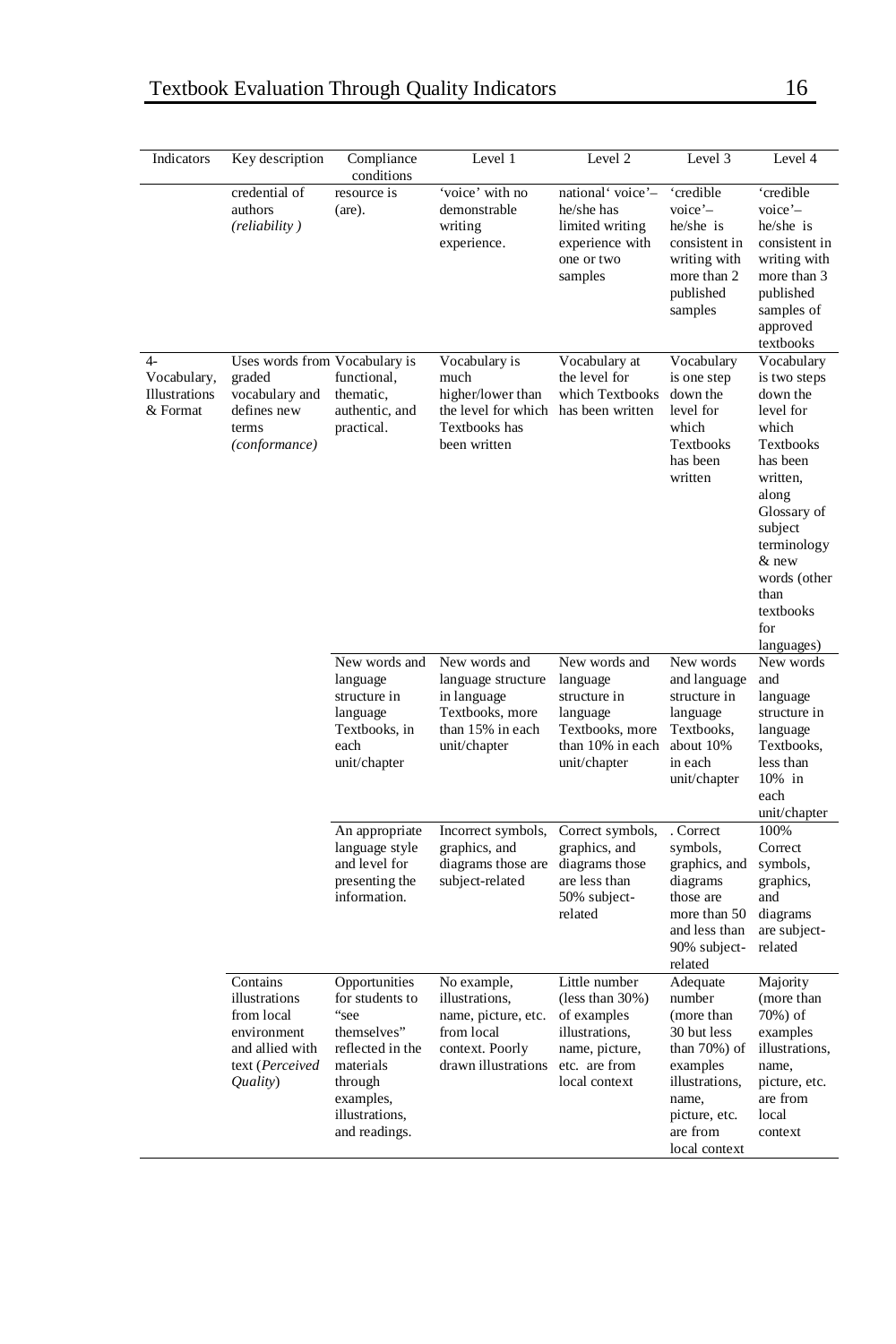|                                                  |                                                                                                          |                                                                                                                                                     | Level 1                                                                                                      |                                                                                                                          | Level 3                                                                                                                                              |                                                                                                                                                                                                                        |
|--------------------------------------------------|----------------------------------------------------------------------------------------------------------|-----------------------------------------------------------------------------------------------------------------------------------------------------|--------------------------------------------------------------------------------------------------------------|--------------------------------------------------------------------------------------------------------------------------|------------------------------------------------------------------------------------------------------------------------------------------------------|------------------------------------------------------------------------------------------------------------------------------------------------------------------------------------------------------------------------|
| Indicators                                       | Key description                                                                                          | Compliance<br>conditions                                                                                                                            |                                                                                                              | Level 2                                                                                                                  |                                                                                                                                                      | Level 4                                                                                                                                                                                                                |
|                                                  | credential of<br>authors<br>(reliability)                                                                | resource is<br>(are).                                                                                                                               | 'voice' with no<br>demonstrable<br>writing<br>experience.                                                    | national' voice'-<br>he/she has<br>limited writing<br>experience with<br>one or two<br>samples                           | 'credible<br>$v^{\text{oice}}$ <sup>-</sup><br>he/she is<br>consistent in<br>writing with<br>more than 2<br>published<br>samples                     | 'credible<br>$v^{\circ}$ -<br>he/she is<br>consistent in<br>writing with<br>more than 3<br>published<br>samples of<br>approved<br>textbooks                                                                            |
| $4-$<br>Vocabulary,<br>Illustrations<br>& Format | Uses words from Vocabulary is<br>graded<br>vocabulary and<br>defines new<br>terms<br>(conformance)       | functional,<br>thematic,<br>authentic, and<br>practical.                                                                                            | Vocabulary is<br>much<br>higher/lower than<br>the level for which<br>Textbooks has<br>been written           | Vocabulary at<br>the level for<br>which Textbooks<br>has been written                                                    | Vocabulary<br>is one step<br>down the<br>level for<br>which<br>Textbooks<br>has been<br>written                                                      | Vocabulary<br>is two steps<br>down the<br>level for<br>which<br>Textbooks<br>has been<br>written,<br>along<br>Glossary of<br>subject<br>terminology<br>& new<br>words (other<br>than<br>textbooks<br>for<br>languages) |
|                                                  |                                                                                                          | New words and<br>language<br>structure in<br>language<br>Textbooks, in<br>each<br>unit/chapter                                                      | New words and<br>language structure<br>in language<br>Textbooks, more<br>than 15% in each<br>unit/chapter    | New words and<br>language<br>structure in<br>language<br>Textbooks, more<br>than 10% in each<br>unit/chapter             | New words<br>and language<br>structure in<br>language<br>Textbooks,<br>about 10%<br>in each<br>unit/chapter                                          | New words<br>and<br>language<br>structure in<br>language<br>Textbooks,<br>less than<br>10% in<br>each<br>unit/chapter                                                                                                  |
|                                                  |                                                                                                          | An appropriate<br>language style<br>and level for<br>presenting the<br>information.                                                                 | Incorrect symbols,<br>graphics, and<br>diagrams those are<br>subject-related                                 | Correct symbols,<br>graphics, and<br>diagrams those<br>are less than<br>50% subject-<br>related                          | . Correct<br>symbols,<br>graphics, and<br>diagrams<br>those are<br>more than 50<br>and less than<br>90% subject-<br>related                          | 100%<br>Correct<br>symbols,<br>graphics,<br>and<br>diagrams<br>are subject-<br>related                                                                                                                                 |
|                                                  | Contains<br>illustrations<br>from local<br>environment<br>and allied with<br>text (Perceived<br>Quality) | Opportunities<br>for students to<br>"see<br>themselves"<br>reflected in the<br>materials<br>through<br>examples,<br>illustrations,<br>and readings. | No example,<br>illustrations,<br>name, picture, etc.<br>from local<br>context. Poorly<br>drawn illustrations | Little number<br>$(less than 30\%)$<br>of examples<br>illustrations,<br>name, picture,<br>etc. are from<br>local context | Adequate<br>number<br>(more than<br>30 but less<br>than 70%) of<br>examples<br>illustrations,<br>name,<br>picture, etc.<br>are from<br>local context | Majority<br>(more than<br>70%) of<br>examples<br>illustrations,<br>name,<br>picture, etc.<br>are from<br>local<br>context                                                                                              |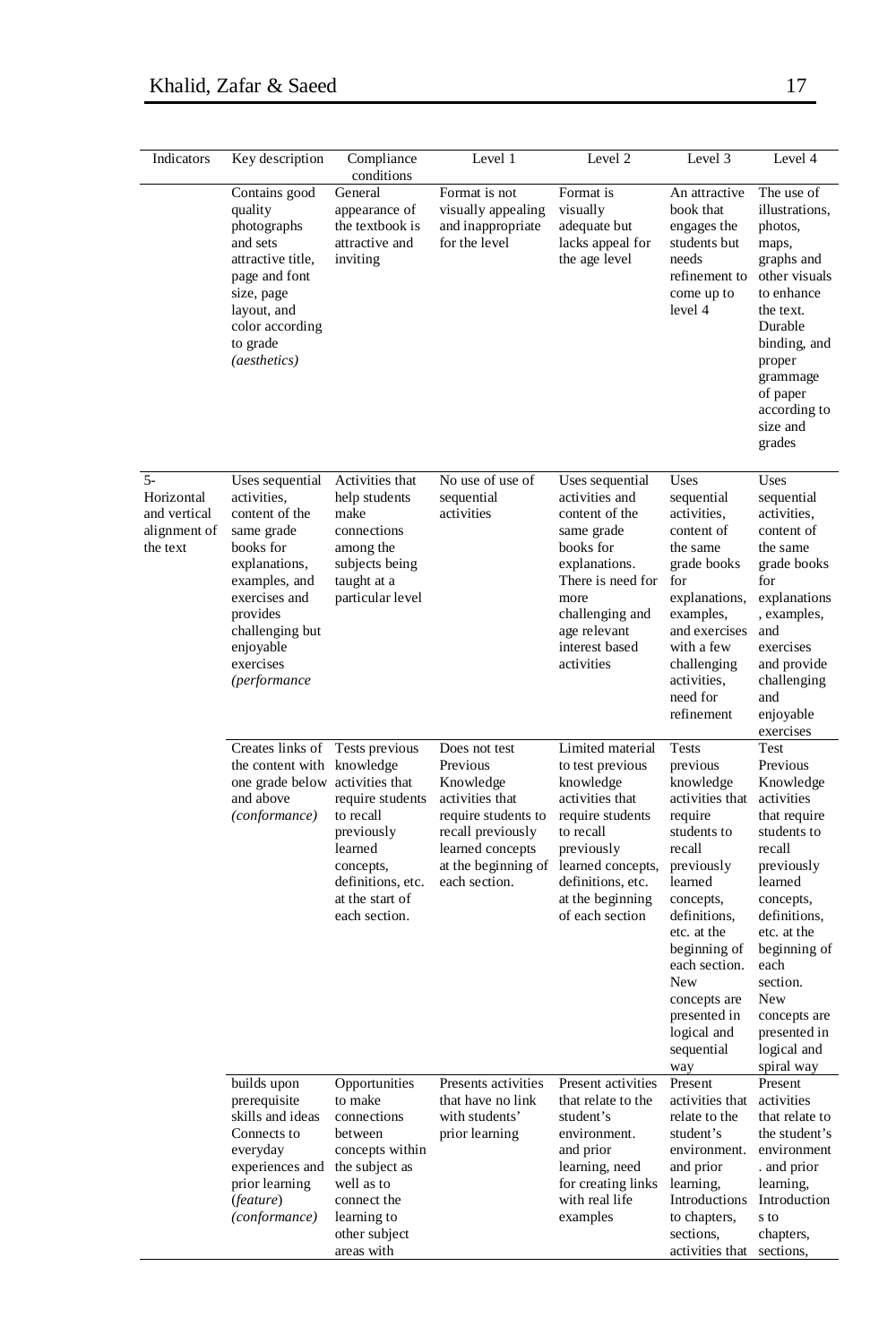| Indicators                                                     | Key description                                                                                                                                                                                         | Compliance<br>conditions                                                                                                                                           | Level 1                                                                                                                                                           | Level 2                                                                                                                                                                                              | Level 3                                                                                                                                                                                                                                                                       | Level 4                                                                                                                                                                                                                                                           |
|----------------------------------------------------------------|---------------------------------------------------------------------------------------------------------------------------------------------------------------------------------------------------------|--------------------------------------------------------------------------------------------------------------------------------------------------------------------|-------------------------------------------------------------------------------------------------------------------------------------------------------------------|------------------------------------------------------------------------------------------------------------------------------------------------------------------------------------------------------|-------------------------------------------------------------------------------------------------------------------------------------------------------------------------------------------------------------------------------------------------------------------------------|-------------------------------------------------------------------------------------------------------------------------------------------------------------------------------------------------------------------------------------------------------------------|
|                                                                | Contains good<br>quality<br>photographs<br>and sets<br>attractive title,<br>page and font<br>size, page<br>layout, and<br>color according<br>to grade<br>(aesthetics)                                   | General<br>appearance of<br>the textbook is<br>attractive and<br>inviting                                                                                          | Format is not<br>visually appealing<br>and inappropriate<br>for the level                                                                                         | Format is<br>visually<br>adequate but<br>lacks appeal for<br>the age level                                                                                                                           | An attractive<br>book that<br>engages the<br>students but<br>needs<br>refinement to<br>come up to<br>level 4                                                                                                                                                                  | The use of<br>illustrations,<br>photos,<br>maps,<br>graphs and<br>other visuals<br>to enhance<br>the text.<br>Durable<br>binding, and<br>proper<br>grammage<br>of paper<br>according to<br>size and<br>grades                                                     |
| $5-$<br>Horizontal<br>and vertical<br>alignment of<br>the text | Uses sequential<br>activities.<br>content of the<br>same grade<br>books for<br>explanations,<br>examples, and<br>exercises and<br>provides<br>challenging but<br>enjoyable<br>exercises<br>(performance | Activities that<br>help students<br>make<br>connections<br>among the<br>subjects being<br>taught at a<br>particular level                                          | No use of use of<br>sequential<br>activities                                                                                                                      | Uses sequential<br>activities and<br>content of the<br>same grade<br>books for<br>explanations.<br>There is need for<br>more<br>challenging and<br>age relevant<br>interest based<br>activities      | Uses<br>sequential<br>activities,<br>content of<br>the same<br>grade books<br>for<br>explanations,<br>examples,<br>and exercises<br>with a few<br>challenging<br>activities,<br>need for<br>refinement                                                                        | Uses<br>sequential<br>activities,<br>content of<br>the same<br>grade books<br>for<br>explanations<br>, examples,<br>and<br>exercises<br>and provide<br>challenging<br>and<br>enjoyable<br>exercises                                                               |
|                                                                | Creates links of<br>the content with knowledge<br>one grade below activities that<br>and above<br>(conformance)                                                                                         | Tests previous<br>require students<br>to recall<br>previously<br>learned<br>concepts,<br>definitions, etc.<br>at the start of<br>each section.                     | Does not test<br>Previous<br>Knowledge<br>activities that<br>require students to<br>recall previously<br>learned concepts<br>at the beginning of<br>each section. | Limited material<br>to test previous<br>knowledge<br>activities that<br>require students<br>to recall<br>previously<br>learned concepts,<br>definitions, etc.<br>at the beginning<br>of each section | <b>Tests</b><br>previous<br>knowledge<br>activities that<br>require<br>students to<br>recall<br>previously<br>learned<br>concepts,<br>definitions,<br>etc. at the<br>beginning of<br>each section.<br>New<br>concepts are<br>presented in<br>logical and<br>sequential<br>way | Test<br>Previous<br>Knowledge<br>activities<br>that require<br>students to<br>recall<br>previously<br>learned<br>concepts,<br>definitions,<br>etc. at the<br>beginning of<br>each<br>section.<br>New<br>concepts are<br>presented in<br>logical and<br>spiral way |
|                                                                | builds upon<br>prerequisite<br>skills and ideas<br>Connects to<br>everyday<br>experiences and<br>prior learning<br>(feature)<br>(conformance)                                                           | Opportunities<br>to make<br>connections<br>between<br>concepts within<br>the subject as<br>well as to<br>connect the<br>learning to<br>other subject<br>areas with | Presents activities<br>that have no link<br>with students'<br>prior learning                                                                                      | Present activities<br>that relate to the<br>student's<br>environment.<br>and prior<br>learning, need<br>for creating links<br>with real life<br>examples                                             | Present<br>activities that<br>relate to the<br>student's<br>environment.<br>and prior<br>learning,<br>Introductions<br>to chapters,<br>sections,<br>activities that                                                                                                           | Present<br>activities<br>that relate to<br>the student's<br>environment<br>. and prior<br>learning,<br>Introduction<br>s to<br>chapters,<br>sections,                                                                                                             |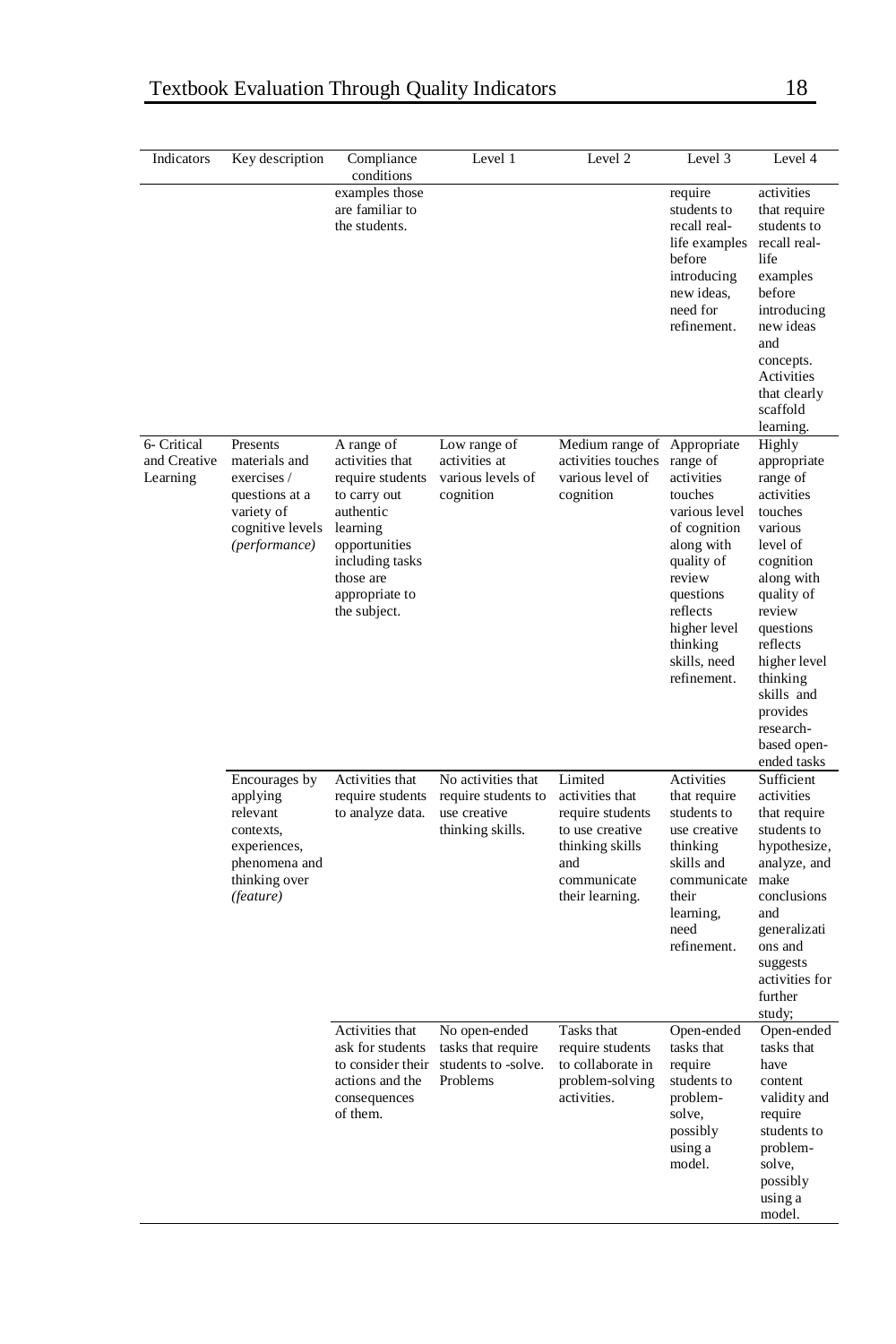| Indicators                              | Key description                                                                                                   | Compliance<br>conditions                                                                                                                                                      | Level 1                                                                       | Level 2                                                                                                                       | Level 3                                                                                                                                                                                                     | Level 4                                                                                                                                                                                                                                                        |
|-----------------------------------------|-------------------------------------------------------------------------------------------------------------------|-------------------------------------------------------------------------------------------------------------------------------------------------------------------------------|-------------------------------------------------------------------------------|-------------------------------------------------------------------------------------------------------------------------------|-------------------------------------------------------------------------------------------------------------------------------------------------------------------------------------------------------------|----------------------------------------------------------------------------------------------------------------------------------------------------------------------------------------------------------------------------------------------------------------|
|                                         |                                                                                                                   | examples those<br>are familiar to<br>the students.                                                                                                                            |                                                                               |                                                                                                                               | require<br>students to<br>recall real-<br>life examples<br>before<br>introducing<br>new ideas,<br>need for<br>refinement.                                                                                   | activities<br>that require<br>students to<br>recall real-<br>life<br>examples<br>before<br>introducing<br>new ideas<br>and<br>concepts.<br>Activities<br>that clearly<br>scaffold<br>learning.                                                                 |
| 6- Critical<br>and Creative<br>Learning | Presents<br>materials and<br>exercises /<br>questions at a<br>variety of<br>cognitive levels<br>(performance)     | A range of<br>activities that<br>require students<br>to carry out<br>authentic<br>learning<br>opportunities<br>including tasks<br>those are<br>appropriate to<br>the subject. | Low range of<br>activities at<br>various levels of<br>cognition               | Medium range of<br>activities touches<br>various level of<br>cognition                                                        | Appropriate<br>range of<br>activities<br>touches<br>various level<br>of cognition<br>along with<br>quality of<br>review<br>questions<br>reflects<br>higher level<br>thinking<br>skills, need<br>refinement. | Highly<br>appropriate<br>range of<br>activities<br>touches<br>various<br>level of<br>cognition<br>along with<br>quality of<br>review<br>questions<br>reflects<br>higher level<br>thinking<br>skills and<br>provides<br>research-<br>based open-<br>ended tasks |
|                                         | Encourages by<br>applying<br>relevant<br>contexts,<br>experiences,<br>phenomena and<br>thinking over<br>(feature) | Activities that<br>require students<br>to analyze data.                                                                                                                       | No activities that<br>require students to<br>use creative<br>thinking skills. | Limited<br>activities that<br>require students<br>to use creative<br>thinking skills<br>and<br>communicate<br>their learning. | Activities<br>that require<br>students to<br>use creative<br>thinking<br>skills and<br>communicate<br>their<br>learning,<br>need<br>refinement.                                                             | Sufficient<br>activities<br>that require<br>students to<br>hypothesize,<br>analyze, and<br>make<br>conclusions<br>and<br>generalizati<br>ons and<br>suggests<br>activities for<br>further<br>study;                                                            |
|                                         |                                                                                                                   | Activities that<br>ask for students<br>to consider their<br>actions and the<br>consequences<br>of them.                                                                       | No open-ended<br>tasks that require<br>students to -solve.<br>Problems        | Tasks that<br>require students<br>to collaborate in<br>problem-solving<br>activities.                                         | Open-ended<br>tasks that<br>require<br>students to<br>problem-<br>solve,<br>possibly<br>using a<br>model.                                                                                                   | Open-ended<br>tasks that<br>have<br>content<br>validity and<br>require<br>students to<br>problem-<br>solve,<br>possibly<br>using a<br>model.                                                                                                                   |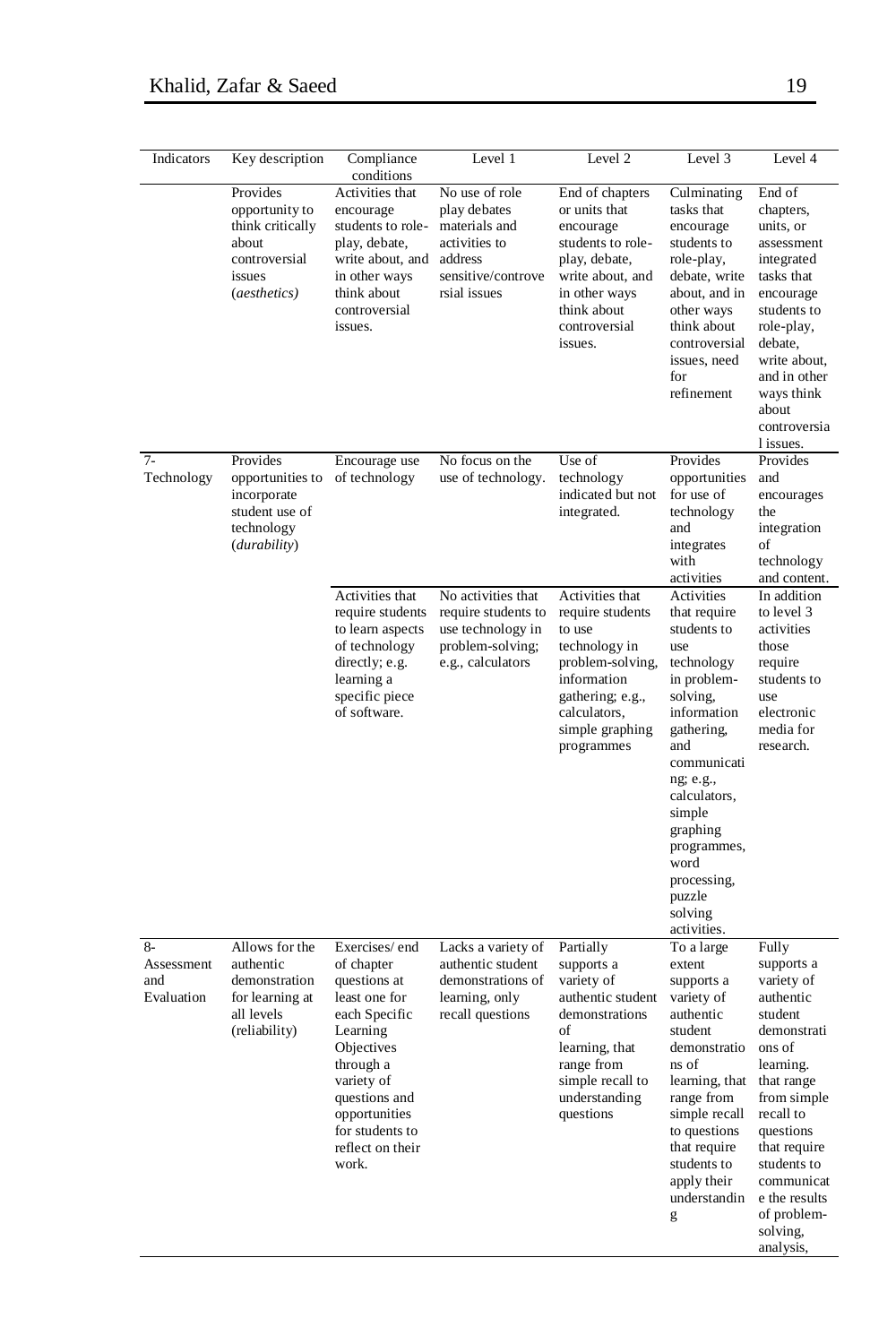| Indicators                              | Key description                                                                                      | Compliance<br>conditions                                                                                                                                                                                             | Level 1                                                                                                 | Level 2                                                                                                                                                                | Level 3                                                                                                                                                                                                                                                                   | Level 4                                                                                                                                                                                                                                                      |
|-----------------------------------------|------------------------------------------------------------------------------------------------------|----------------------------------------------------------------------------------------------------------------------------------------------------------------------------------------------------------------------|---------------------------------------------------------------------------------------------------------|------------------------------------------------------------------------------------------------------------------------------------------------------------------------|---------------------------------------------------------------------------------------------------------------------------------------------------------------------------------------------------------------------------------------------------------------------------|--------------------------------------------------------------------------------------------------------------------------------------------------------------------------------------------------------------------------------------------------------------|
|                                         | Provides<br>opportunity to<br>think critically<br>about<br>controversial<br>issues<br>(aesthetics)   | Activities that<br>encourage<br>students to role-<br>play, debate,<br>write about, and address<br>in other ways<br>think about<br>controversial<br>issues.                                                           | No use of role<br>play debates<br>materials and<br>activities to<br>sensitive/controve<br>rsial issues  | End of chapters<br>or units that<br>encourage<br>students to role-<br>play, debate,<br>write about, and<br>in other ways<br>think about<br>controversial<br>issues.    | Culminating<br>tasks that<br>encourage<br>students to<br>role-play,<br>debate, write<br>about, and in<br>other ways<br>think about<br>controversial<br>issues, need<br>for<br>refinement                                                                                  | End of<br>chapters,<br>units, or<br>assessment<br>integrated<br>tasks that<br>encourage<br>students to<br>role-play,<br>debate,<br>write about,<br>and in other<br>ways think<br>about<br>controversia<br>1 issues.                                          |
| $7 -$<br>Technology                     | Provides<br>opportunities to<br>incorporate<br>student use of<br>technology<br>( <i>durability</i> ) | Encourage use<br>of technology                                                                                                                                                                                       | No focus on the<br>use of technology.                                                                   | Use of<br>technology<br>indicated but not<br>integrated.                                                                                                               | Provides<br>opportunities<br>for use of<br>technology<br>and<br>integrates<br>with<br>activities                                                                                                                                                                          | Provides<br>and<br>encourages<br>the<br>integration<br>of<br>technology<br>and content.                                                                                                                                                                      |
|                                         |                                                                                                      | Activities that<br>require students<br>to learn aspects<br>of technology<br>directly; e.g.<br>learning a<br>specific piece<br>of software.                                                                           | No activities that<br>require students to<br>use technology in<br>problem-solving;<br>e.g., calculators | Activities that<br>require students<br>to use<br>technology in<br>problem-solving,<br>information<br>gathering; e.g.,<br>calculators,<br>simple graphing<br>programmes | Activities<br>that require<br>students to<br>use<br>technology<br>in problem-<br>solving,<br>information<br>gathering.<br>and<br>communicati<br>ng; e.g.,<br>calculators,<br>simple<br>graphing<br>programmes,<br>word<br>processing,<br>puzzle<br>solving<br>activities. | In addition<br>to level 3<br>activities<br>those<br>require<br>students to<br>use<br>electronic<br>media for<br>research.                                                                                                                                    |
| $8-$<br>Assessment<br>and<br>Evaluation | Allows for the<br>authentic<br>demonstration<br>for learning at<br>all levels<br>(reliability)       | Exercises/end<br>of chapter<br>questions at<br>least one for<br>each Specific<br>Learning<br>Objectives<br>through a<br>variety of<br>questions and<br>opportunities<br>for students to<br>reflect on their<br>work. | Lacks a variety of<br>authentic student<br>demonstrations of<br>learning, only<br>recall questions      | Partially<br>supports a<br>variety of<br>authentic student<br>demonstrations<br>of<br>learning, that<br>range from<br>simple recall to<br>understanding<br>questions   | To a large<br>extent<br>supports a<br>variety of<br>authentic<br>student<br>demonstratio<br>ns of<br>learning, that<br>range from<br>simple recall<br>to questions<br>that require<br>students to<br>apply their<br>understandin<br>g                                     | Fully<br>supports a<br>variety of<br>authentic<br>student<br>demonstrati<br>ons of<br>learning.<br>that range<br>from simple<br>recall to<br>questions<br>that require<br>students to<br>communicat<br>e the results<br>of problem-<br>solving,<br>analysis, |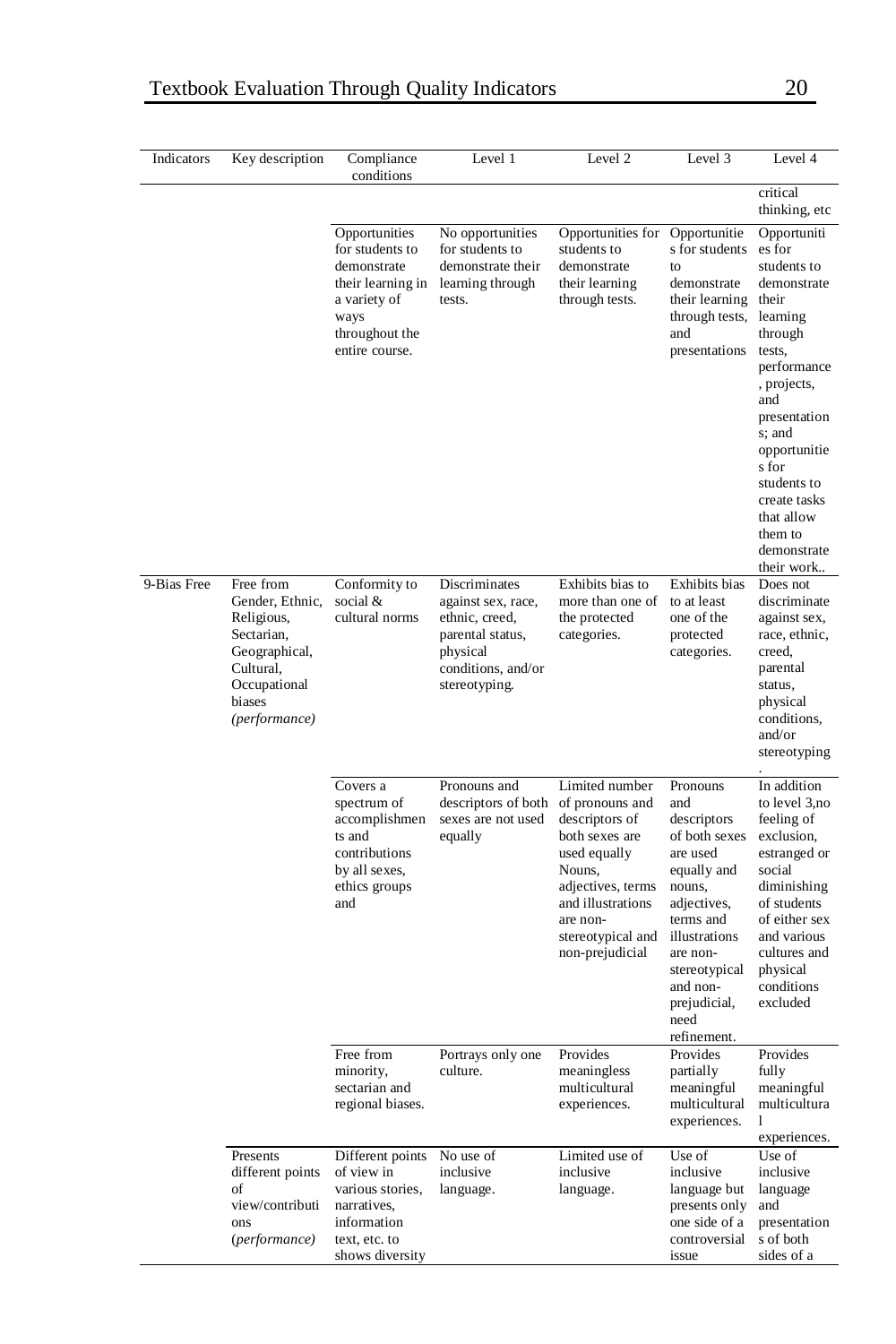| Indicators  | Key description                                                                                                                   | Compliance<br>conditions                                                                                                         | Level 1                                                                                                                      | Level 2                                                                                                                                                                                       | Level 3                                                                                                                                                                                                           | Level 4                                                                                                                                                                                                                                                                    |
|-------------|-----------------------------------------------------------------------------------------------------------------------------------|----------------------------------------------------------------------------------------------------------------------------------|------------------------------------------------------------------------------------------------------------------------------|-----------------------------------------------------------------------------------------------------------------------------------------------------------------------------------------------|-------------------------------------------------------------------------------------------------------------------------------------------------------------------------------------------------------------------|----------------------------------------------------------------------------------------------------------------------------------------------------------------------------------------------------------------------------------------------------------------------------|
|             |                                                                                                                                   |                                                                                                                                  |                                                                                                                              |                                                                                                                                                                                               |                                                                                                                                                                                                                   | critical<br>thinking, etc                                                                                                                                                                                                                                                  |
|             |                                                                                                                                   | Opportunities<br>for students to<br>demonstrate<br>their learning in<br>a variety of<br>ways<br>throughout the<br>entire course. | No opportunities<br>for students to<br>demonstrate their<br>learning through<br>tests.                                       | Opportunities for<br>students to<br>demonstrate<br>their learning<br>through tests.                                                                                                           | Opportunitie<br>s for students<br>to<br>demonstrate<br>their learning<br>through tests,<br>and<br>presentations                                                                                                   | Opportuniti<br>es for<br>students to<br>demonstrate<br>their<br>learning<br>through<br>tests,<br>performance<br>, projects,<br>and<br>presentation<br>s; and<br>opportunitie<br>s for<br>students to<br>create tasks<br>that allow<br>them to<br>demonstrate<br>their work |
| 9-Bias Free | Free from<br>Gender, Ethnic,<br>Religious,<br>Sectarian,<br>Geographical,<br>Cultural,<br>Occupational<br>biases<br>(performance) | Conformity to<br>social &<br>cultural norms                                                                                      | Discriminates<br>against sex, race,<br>ethnic, creed,<br>parental status,<br>physical<br>conditions, and/or<br>stereotyping. | Exhibits bias to<br>more than one of<br>the protected<br>categories.                                                                                                                          | Exhibits bias<br>to at least<br>one of the<br>protected<br>categories.                                                                                                                                            | Does not<br>discriminate<br>against sex,<br>race, ethnic,<br>creed,<br>parental<br>status,<br>physical<br>conditions,<br>and/or<br>stereotyping                                                                                                                            |
|             |                                                                                                                                   | Covers a<br>spectrum of<br>accomplishmen<br>ts and<br>contributions<br>by all sexes,<br>ethics groups<br>and                     | Pronouns and<br>descriptors of both<br>sexes are not used<br>equally                                                         | Limited number<br>of pronouns and<br>descriptors of<br>both sexes are<br>used equally<br>Nouns,<br>adjectives, terms<br>and illustrations<br>are non-<br>stereotypical and<br>non-prejudicial | Pronouns<br>and<br>descriptors<br>of both sexes<br>are used<br>equally and<br>nouns,<br>adjectives,<br>terms and<br>illustrations<br>are non-<br>stereotypical<br>and non-<br>prejudicial,<br>need<br>refinement. | In addition<br>to level 3,no<br>feeling of<br>exclusion,<br>estranged or<br>social<br>diminishing<br>of students<br>of either sex<br>and various<br>cultures and<br>physical<br>conditions<br>excluded                                                                     |
|             |                                                                                                                                   | Free from<br>minority,<br>sectarian and<br>regional biases.                                                                      | Portrays only one<br>culture.                                                                                                | Provides<br>meaningless<br>multicultural<br>experiences.                                                                                                                                      | Provides<br>partially<br>meaningful<br>multicultural<br>experiences.                                                                                                                                              | Provides<br>fully<br>meaningful<br>multicultura<br>1<br>experiences.                                                                                                                                                                                                       |
|             | Presents<br>different points<br>of<br>view/contributi<br>ons<br>(performance)                                                     | Different points<br>of view in<br>various stories,<br>narratives,<br>information<br>text, etc. to<br>shows diversity             | No use of<br>inclusive<br>language.                                                                                          | Limited use of<br>inclusive<br>language.                                                                                                                                                      | Use of<br>inclusive<br>language but<br>presents only<br>one side of a<br>controversial<br>issue                                                                                                                   | Use of<br>inclusive<br>language<br>and<br>presentation<br>s of both<br>sides of a                                                                                                                                                                                          |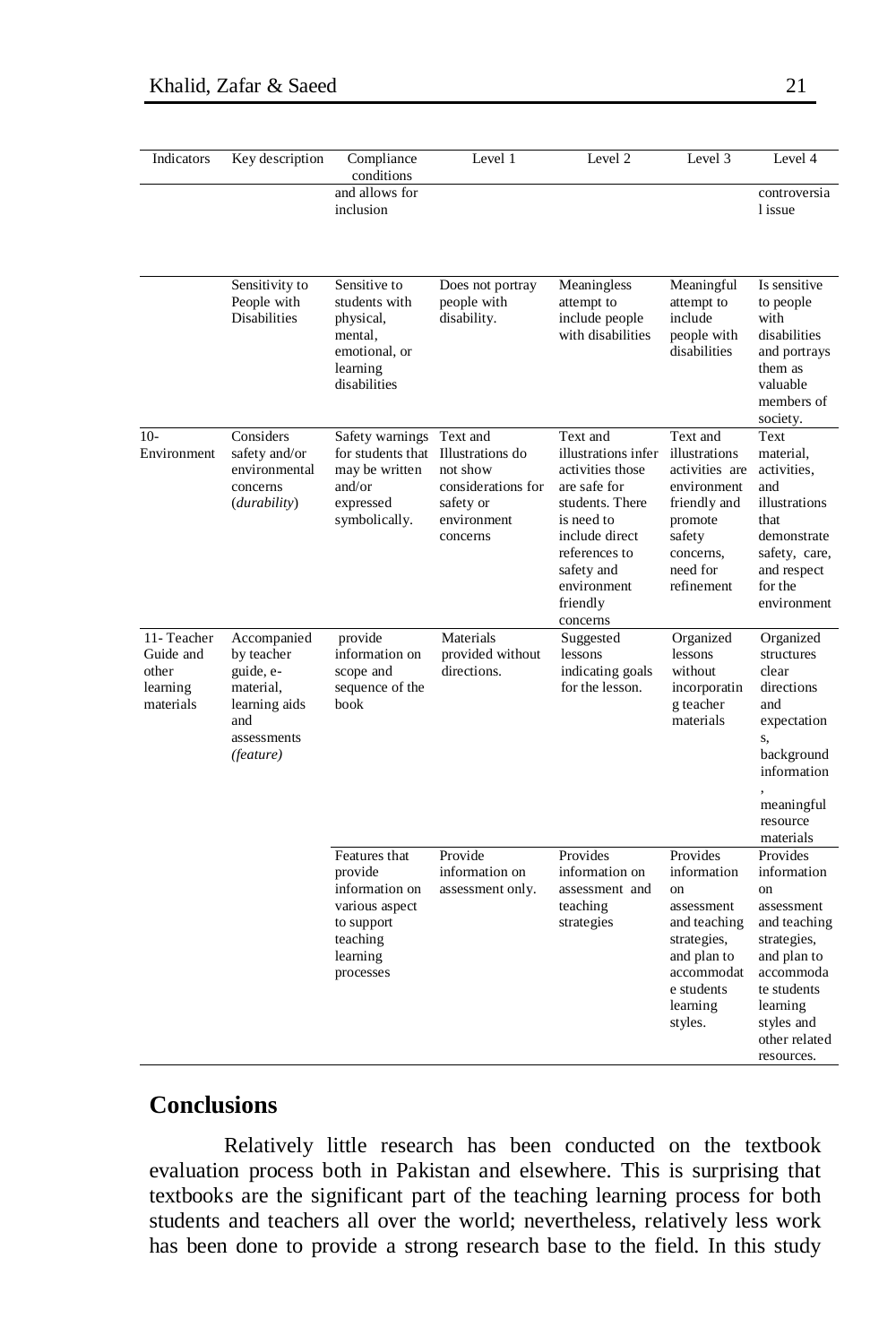| Indicators                                                | Key description                                                                                         | Compliance<br>conditions                                                                                        | Level 1                                                                                                | Level 2                                                                                                                                                                                      | Level 3                                                                                                                                                 | Level 4                                                                                                                                                                        |
|-----------------------------------------------------------|---------------------------------------------------------------------------------------------------------|-----------------------------------------------------------------------------------------------------------------|--------------------------------------------------------------------------------------------------------|----------------------------------------------------------------------------------------------------------------------------------------------------------------------------------------------|---------------------------------------------------------------------------------------------------------------------------------------------------------|--------------------------------------------------------------------------------------------------------------------------------------------------------------------------------|
|                                                           |                                                                                                         | and allows for<br>inclusion                                                                                     |                                                                                                        |                                                                                                                                                                                              |                                                                                                                                                         | controversia<br>1 issue                                                                                                                                                        |
|                                                           | Sensitivity to<br>People with<br><b>Disabilities</b>                                                    | Sensitive to<br>students with<br>physical,<br>mental,<br>emotional, or<br>learning<br>disabilities              | Does not portray<br>people with<br>disability.                                                         | Meaningless<br>attempt to<br>include people<br>with disabilities                                                                                                                             | Meaningful<br>attempt to<br>include<br>people with<br>disabilities                                                                                      | Is sensitive<br>to people<br>with<br>disabilities<br>and portrays<br>them as<br>valuable<br>members of<br>society.                                                             |
| $10-$<br>Environment                                      | Considers<br>safety and/or<br>environmental<br>concerns<br>( <i>durability</i> )                        | Safety warnings<br>for students that<br>may be written<br>and/or<br>expressed<br>symbolically.                  | Text and<br>Illustrations do<br>not show<br>considerations for<br>safety or<br>environment<br>concerns | Text and<br>illustrations infer<br>activities those<br>are safe for<br>students. There<br>is need to<br>include direct<br>references to<br>safety and<br>environment<br>friendly<br>concerns | Text and<br>illustrations<br>activities are<br>environment<br>friendly and<br>promote<br>safety<br>concerns,<br>need for<br>refinement                  | Text<br>material,<br>activities,<br>and<br>illustrations<br>that<br>demonstrate<br>safety, care,<br>and respect<br>for the<br>environment                                      |
| 11-Teacher<br>Guide and<br>other<br>learning<br>materials | Accompanied<br>by teacher<br>guide, e-<br>material,<br>learning aids<br>and<br>assessments<br>(feature) | provide<br>information on<br>scope and<br>sequence of the<br>book                                               | Materials<br>provided without<br>directions.                                                           | Suggested<br>lessons<br>indicating goals<br>for the lesson.                                                                                                                                  | Organized<br>lessons<br>without<br>incorporatin<br>g teacher<br>materials                                                                               | Organized<br>structures<br>clear<br>directions<br>and<br>expectation<br>S,<br>background<br>information<br>meaningful<br>resource<br>materials                                 |
|                                                           |                                                                                                         | Features that<br>provide<br>information on<br>various aspect<br>to support<br>teaching<br>learning<br>processes | Provide<br>information on<br>assessment only.                                                          | Provides<br>information on<br>assessment and<br>teaching<br>strategies                                                                                                                       | Provides<br>information<br><sub>on</sub><br>assessment<br>and teaching<br>strategies,<br>and plan to<br>accommodat<br>e students<br>learning<br>styles. | Provides<br>information<br>on<br>assessment<br>and teaching<br>strategies,<br>and plan to<br>accommoda<br>te students<br>learning<br>styles and<br>other related<br>resources. |

## **Conclusions**

Relatively little research has been conducted on the textbook evaluation process both in Pakistan and elsewhere. This is surprising that textbooks are the significant part of the teaching learning process for both students and teachers all over the world; nevertheless, relatively less work has been done to provide a strong research base to the field. In this study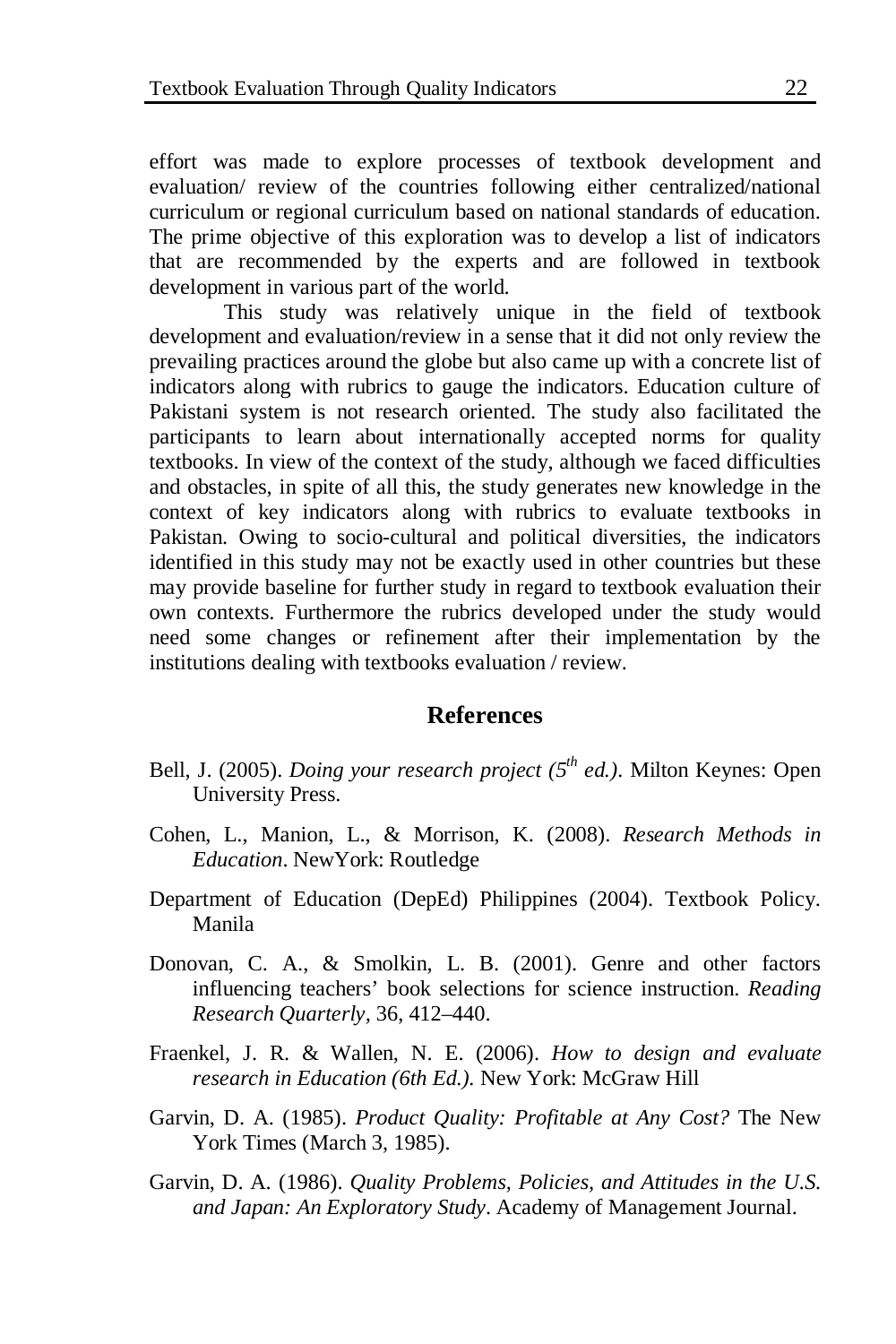effort was made to explore processes of textbook development and evaluation/ review of the countries following either centralized/national curriculum or regional curriculum based on national standards of education. The prime objective of this exploration was to develop a list of indicators that are recommended by the experts and are followed in textbook development in various part of the world.

This study was relatively unique in the field of textbook development and evaluation/review in a sense that it did not only review the prevailing practices around the globe but also came up with a concrete list of indicators along with rubrics to gauge the indicators. Education culture of Pakistani system is not research oriented. The study also facilitated the participants to learn about internationally accepted norms for quality textbooks. In view of the context of the study, although we faced difficulties and obstacles, in spite of all this, the study generates new knowledge in the context of key indicators along with rubrics to evaluate textbooks in Pakistan. Owing to socio-cultural and political diversities, the indicators identified in this study may not be exactly used in other countries but these may provide baseline for further study in regard to textbook evaluation their own contexts. Furthermore the rubrics developed under the study would need some changes or refinement after their implementation by the institutions dealing with textbooks evaluation / review.

### **References**

- Bell, J. (2005). *Doing your research project* (5<sup>th</sup> ed.). Milton Keynes: Open University Press.
- Cohen, L., Manion, L., & Morrison, K. (2008). *Research Methods in Education*. NewYork: Routledge
- Department of Education (DepEd) Philippines (2004). Textbook Policy. Manila
- Donovan, C. A., & Smolkin, L. B. (2001). Genre and other factors influencing teachers' book selections for science instruction. *Reading Research Quarterly,* 36, 412–440.
- Fraenkel, J. R. & Wallen, N. E. (2006). *How to design and evaluate research in Education (6th Ed.).* New York: McGraw Hill
- Garvin, D. A. (1985). *Product Quality: Profitable at Any Cost?* The New York Times (March 3, 1985).
- Garvin, D. A. (1986). *Quality Problems, Policies, and Attitudes in the U.S. and Japan: An Exploratory Study*. Academy of Management Journal.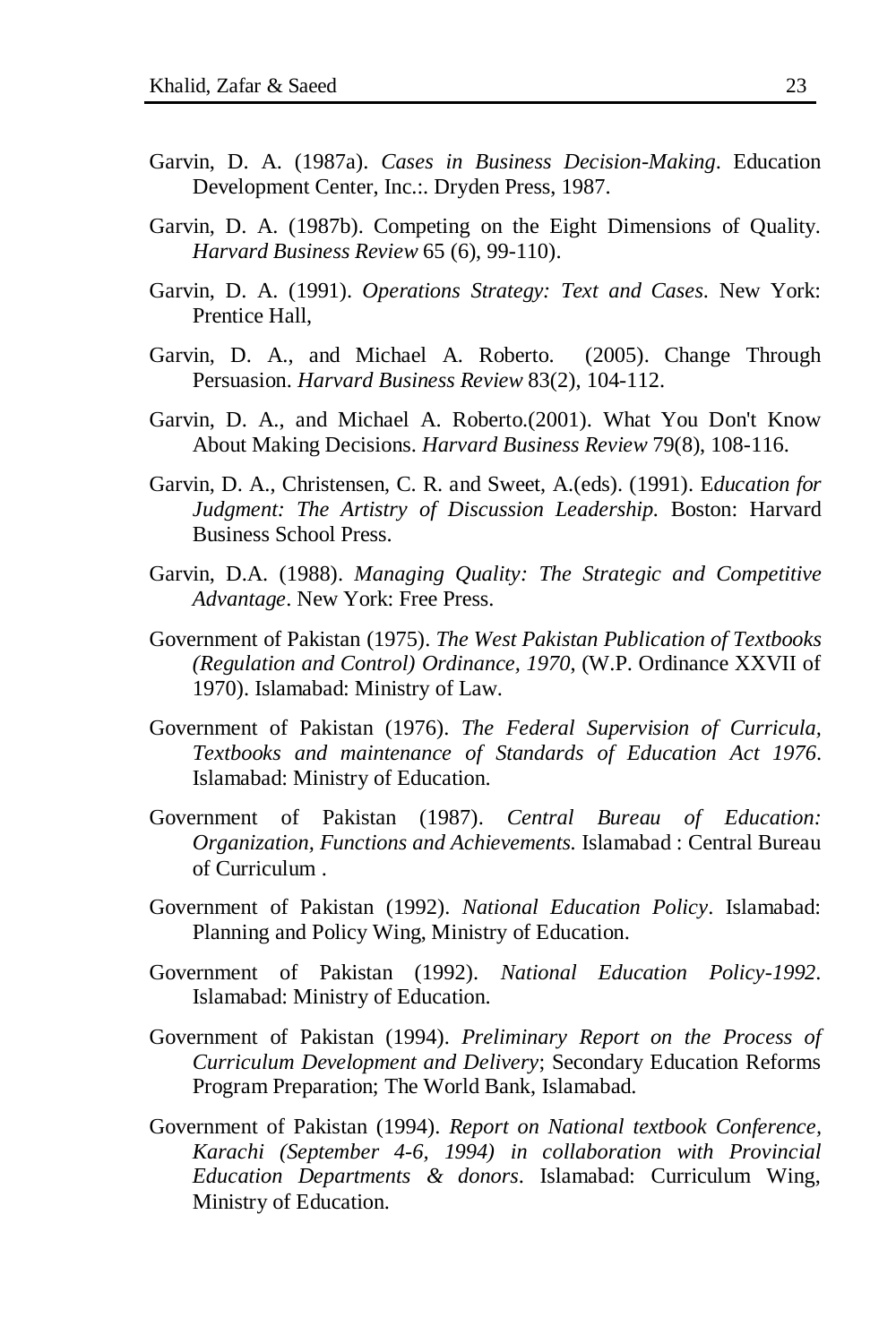- Garvin, D. A. (1987a). *Cases in Business Decision-Making*. Education Development Center, Inc.:. Dryden Press, 1987.
- Garvin, D. A. (1987b). Competing on the Eight Dimensions of Quality. *Harvard Business Review* 65 (6), 99-110).
- Garvin, D. A. (1991). *Operations Strategy: Text and Cases*. New York: Prentice Hall,
- Garvin, D. A., and Michael A. Roberto. (2005). Change Through Persuasion. *Harvard Business Review* 83(2), 104-112.
- Garvin, D. A., and Michael A. Roberto.(2001). What You Don't Know About Making Decisions. *Harvard Business Review* 79(8), 108-116.
- Garvin, D. A., Christensen, C. R. and Sweet, A.(eds). (1991). E*ducation for Judgment: The Artistry of Discussion Leadership.* Boston: Harvard Business School Press.
- Garvin, D.A. (1988). *Managing Quality: The Strategic and Competitive Advantage*. New York: Free Press.
- Government of Pakistan (1975). *The West Pakistan Publication of Textbooks (Regulation and Control) Ordinance, 1970*, (W.P. Ordinance XXVII of 1970). Islamabad: Ministry of Law.
- Government of Pakistan (1976). *The Federal Supervision of Curricula, Textbooks and maintenance of Standards of Education Act 1976*. Islamabad: Ministry of Education.
- Government of Pakistan (1987). *Central Bureau of Education: Organization, Functions and Achievements.* Islamabad : Central Bureau of Curriculum .
- Government of Pakistan (1992). *National Education Policy*. Islamabad: Planning and Policy Wing, Ministry of Education.
- Government of Pakistan (1992). *National Education Policy-1992*. Islamabad: Ministry of Education.
- Government of Pakistan (1994). *Preliminary Report on the Process of Curriculum Development and Delivery*; Secondary Education Reforms Program Preparation; The World Bank, Islamabad.
- Government of Pakistan (1994). *Report on National textbook Conference, Karachi (September 4-6, 1994) in collaboration with Provincial Education Departments & donors*. Islamabad: Curriculum Wing, Ministry of Education.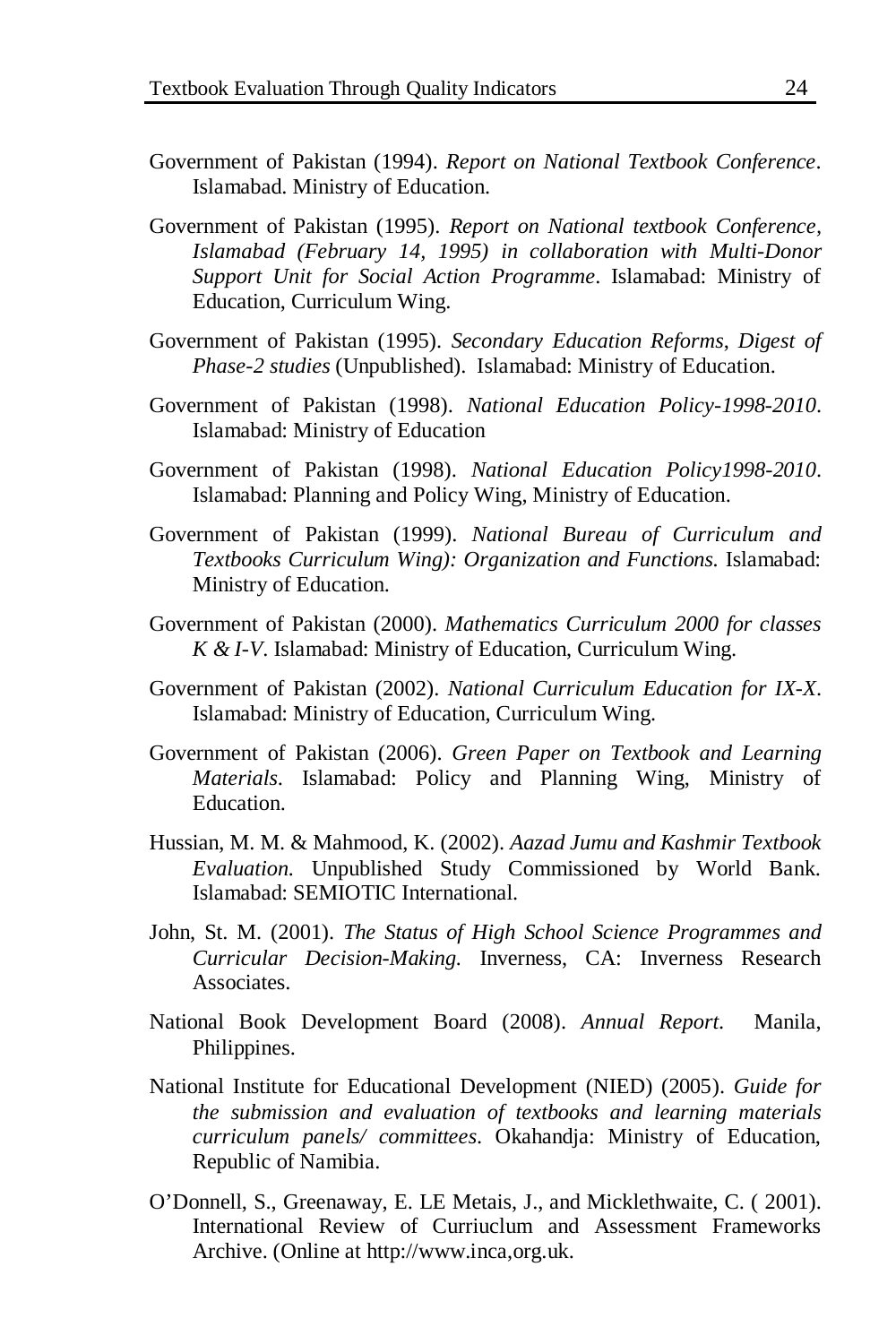- Government of Pakistan (1994). *Report on National Textbook Conference*. Islamabad. Ministry of Education.
- Government of Pakistan (1995). *Report on National textbook Conference, Islamabad (February 14, 1995) in collaboration with Multi-Donor Support Unit for Social Action Programme*. Islamabad: Ministry of Education, Curriculum Wing.
- Government of Pakistan (1995). *Secondary Education Reforms*, *Digest of Phase-2 studies* (Unpublished). Islamabad: Ministry of Education.
- Government of Pakistan (1998). *National Education Policy-1998-2010*. Islamabad: Ministry of Education
- Government of Pakistan (1998). *National Education Policy1998-2010*. Islamabad: Planning and Policy Wing, Ministry of Education.
- Government of Pakistan (1999). *National Bureau of Curriculum and Textbooks Curriculum Wing): Organization and Functions.* Islamabad: Ministry of Education.
- Government of Pakistan (2000). *Mathematics Curriculum 2000 for classes K & I-V*. Islamabad: Ministry of Education, Curriculum Wing.
- Government of Pakistan (2002). *National Curriculum Education for IX-X*. Islamabad: Ministry of Education, Curriculum Wing.
- Government of Pakistan (2006). *Green Paper on Textbook and Learning Materials*. Islamabad: Policy and Planning Wing, Ministry of Education.
- Hussian, M. M. & Mahmood, K. (2002). *Aazad Jumu and Kashmir Textbook Evaluation.* Unpublished Study Commissioned by World Bank. Islamabad: SEMIOTIC International.
- John, St. M. (2001). *The Status of High School Science Programmes and Curricular Decision-Making.* Inverness, CA: Inverness Research **Associates**
- National Book Development Board (2008). *Annual Report*. Manila, Philippines.
- National Institute for Educational Development (NIED) (2005). *Guide for the submission and evaluation of textbooks and learning materials curriculum panels/ committees*. Okahandja: Ministry of Education, Republic of Namibia.
- O'Donnell, S., Greenaway, E. LE Metais, J., and Micklethwaite, C. ( 2001). International Review of Curriuclum and Assessment Frameworks Archive. (Online at [http://www.inca,org.uk.](http://www.inca,org.uk/)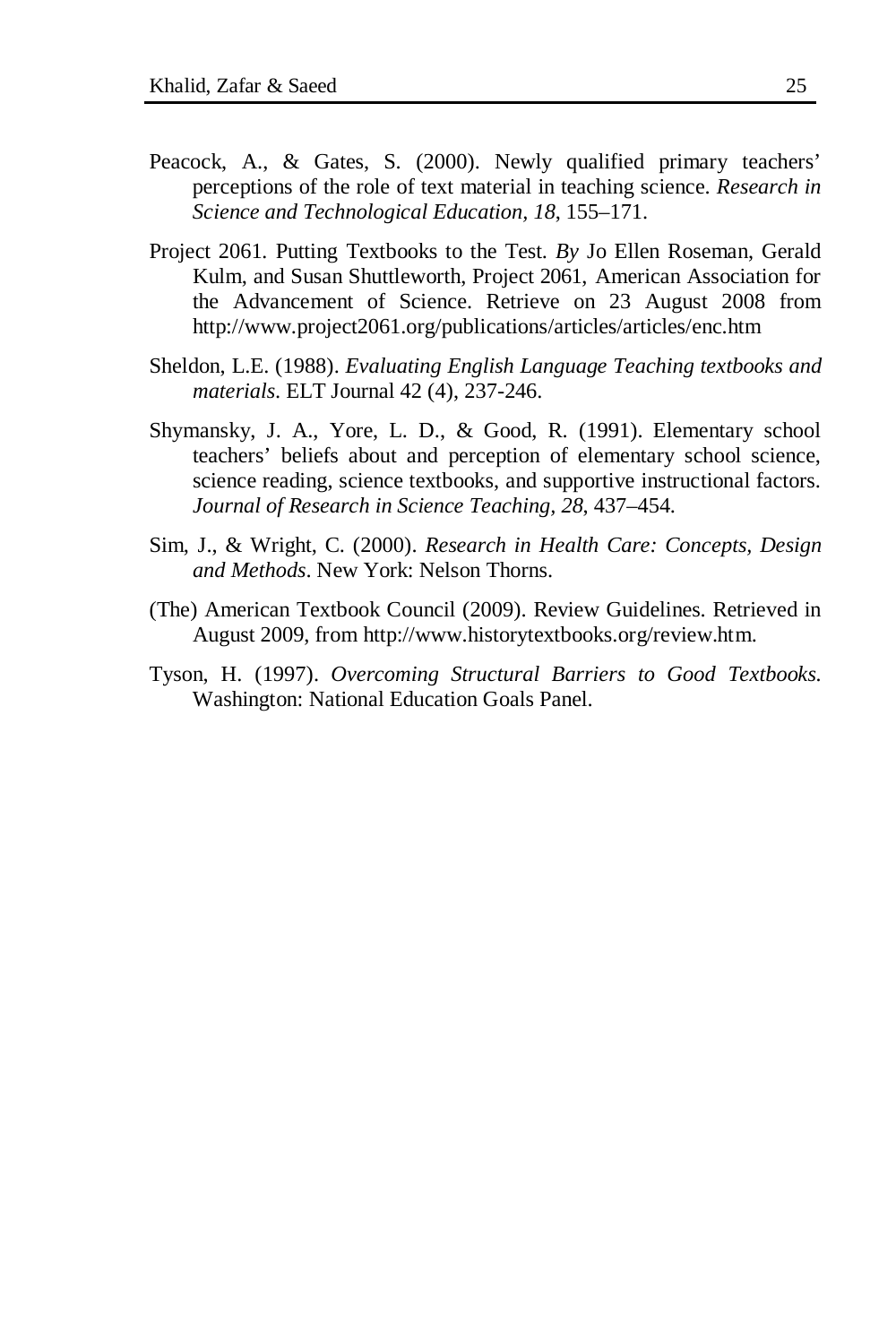- Peacock, A., & Gates, S. (2000). Newly qualified primary teachers' perceptions of the role of text material in teaching science. *Research in Science and Technological Education, 18*, 155–171.
- Project 2061*.* Putting Textbooks to the Test. *By* Jo Ellen Roseman, Gerald Kulm, and Susan Shuttleworth, Project 2061, American Association for the Advancement of Science. Retrieve on 23 August 2008 from <http://www.project2061.org/publications/articles/articles/enc.htm>
- Sheldon, L.E. (1988). *Evaluating English Language Teaching textbooks and materials*. ELT Journal 42 (4), 237-246.
- Shymansky, J. A., Yore, L. D., & Good, R. (1991). Elementary school teachers' beliefs about and perception of elementary school science, science reading, science textbooks, and supportive instructional factors. *Journal of Research in Science Teaching, 28*, 437–454.
- Sim, J., & Wright, C. (2000). *Research in Health Care: Concepts, Design and Methods*. New York: Nelson Thorns.
- (The) American Textbook Council (2009). Review Guidelines. Retrieved in August 2009, from [http://www.historytextbooks.org/review.htm.](http://www.historytextbooks.org/review.htm)
- Tyson, H. (1997). *Overcoming Structural Barriers to Good Textbooks.* Washington: National Education Goals Panel.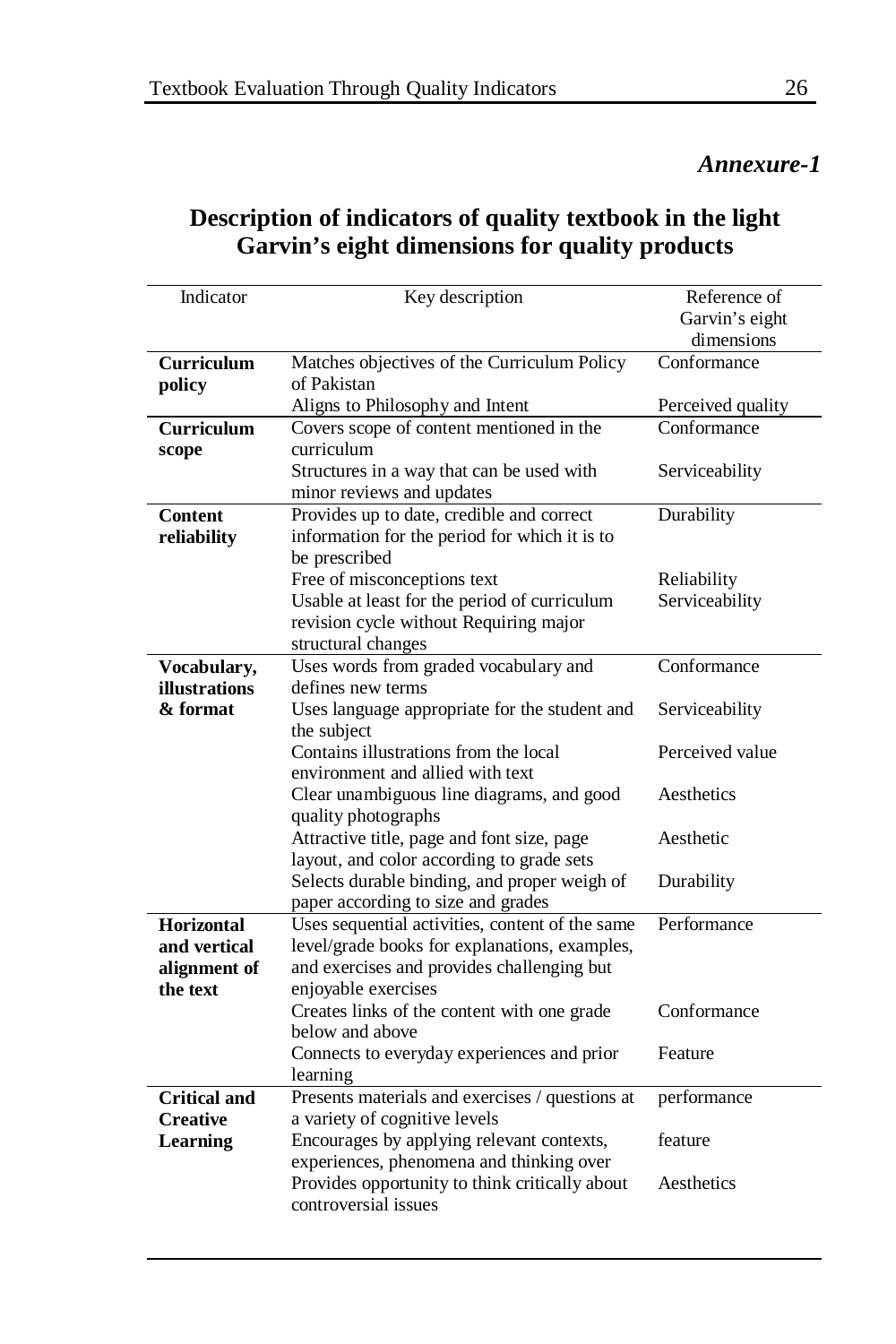# *Annexure-1*

# **Description of indicators of quality textbook in the light Garvin's eight dimensions for quality products**

| Indicator            | Key description                                                        | Reference of      |
|----------------------|------------------------------------------------------------------------|-------------------|
|                      |                                                                        | Garvin's eight    |
|                      |                                                                        | dimensions        |
| <b>Curriculum</b>    | Matches objectives of the Curriculum Policy                            | Conformance       |
| policy               | of Pakistan                                                            |                   |
|                      | Aligns to Philosophy and Intent                                        | Perceived quality |
| Curriculum           | Covers scope of content mentioned in the                               | Conformance       |
| scope                | curriculum                                                             |                   |
|                      | Structures in a way that can be used with                              | Serviceability    |
|                      | minor reviews and updates                                              |                   |
| <b>Content</b>       | Provides up to date, credible and correct                              | Durability        |
| reliability          | information for the period for which it is to                          |                   |
|                      | be prescribed                                                          |                   |
|                      | Free of misconceptions text                                            | Reliability       |
|                      | Usable at least for the period of curriculum                           | Serviceability    |
|                      | revision cycle without Requiring major                                 |                   |
|                      | structural changes                                                     |                   |
| Vocabulary,          | Uses words from graded vocabulary and                                  | Conformance       |
| <b>illustrations</b> | defines new terms                                                      |                   |
| & format             | Uses language appropriate for the student and                          | Serviceability    |
|                      | the subject                                                            |                   |
|                      | Contains illustrations from the local                                  | Perceived value   |
|                      | environment and allied with text                                       |                   |
|                      | Clear unambiguous line diagrams, and good                              | Aesthetics        |
|                      | quality photographs                                                    |                   |
|                      | Attractive title, page and font size, page                             | Aesthetic         |
|                      | layout, and color according to grade sets                              |                   |
|                      | Selects durable binding, and proper weigh of                           | Durability        |
|                      | paper according to size and grades                                     |                   |
| Horizontal           | Uses sequential activities, content of the same                        | Performance       |
| and vertical         | level/grade books for explanations, examples,                          |                   |
| alignment of         | and exercises and provides challenging but                             |                   |
| the text             | enjoyable exercises                                                    |                   |
|                      | Creates links of the content with one grade                            | Conformance       |
|                      | below and above                                                        |                   |
|                      | Connects to everyday experiences and prior                             | Feature           |
|                      | learning                                                               |                   |
| <b>Critical and</b>  | Presents materials and exercises / questions at                        | performance       |
| <b>Creative</b>      | a variety of cognitive levels                                          | feature           |
| <b>Learning</b>      | Encourages by applying relevant contexts,                              |                   |
|                      | experiences, phenomena and thinking over                               | Aesthetics        |
|                      | Provides opportunity to think critically about<br>controversial issues |                   |
|                      |                                                                        |                   |